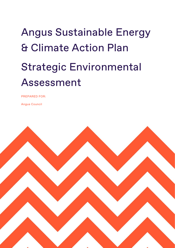# Angus Sustainable Energy & Climate Action Plan Strategic Environmental Assessment

PREPARED FOR:

Angus Council

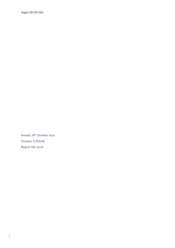Issued: 18th October 2021 Version: V.FINAL Report ref: 2006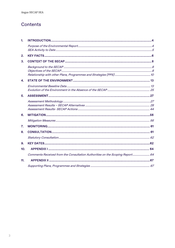## <span id="page-2-0"></span>Contents

| 1.  |                                                                              |  |  |  |
|-----|------------------------------------------------------------------------------|--|--|--|
|     |                                                                              |  |  |  |
| 2.  |                                                                              |  |  |  |
| 3.  |                                                                              |  |  |  |
|     |                                                                              |  |  |  |
| 4.  |                                                                              |  |  |  |
|     |                                                                              |  |  |  |
| 5.  |                                                                              |  |  |  |
|     |                                                                              |  |  |  |
| 6.  |                                                                              |  |  |  |
|     |                                                                              |  |  |  |
| 7.  |                                                                              |  |  |  |
| 8.  |                                                                              |  |  |  |
|     |                                                                              |  |  |  |
| 9.  |                                                                              |  |  |  |
| 10. |                                                                              |  |  |  |
|     | Comments Received from the Consultation Authorities on the Scoping Report 64 |  |  |  |
| 11. |                                                                              |  |  |  |
|     |                                                                              |  |  |  |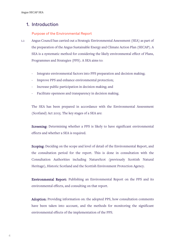## 1. [Introduction](#page-2-0)

#### Purpose of the Environmental Report

- 1.1 Angus Council has carried out a Strategic Environmental Assessment (SEA) as part of the preparation of the Angus Sustainable Energy and Climate Action Plan (SECAP). A SEA is a systematic method for considering the likely environmental effect of Plans, Programmes and Strategies (PPS). A SEA aims to:
	- Integrate environmental factors into PPS preparation and decision making;
	- Improve PPS and enhance environmental protection;
	- Increase public participation in decision making; and
	- Facilitate openness and transparency in decision making.

The SEA has been prepared in accordance with the Environmental Assessment (Scotland) Act 2005. The key stages of a SEA are:

Screening: Determining whether a PPS is likely to have significant environmental effects and whether a SEA is required.

Scoping: Deciding on the scope and level of detail of the Environmental Report, and the consultation period for the report. This is done in consultation with the Consultation Authorities including NatureScot (previously Scottish Natural Heritage), Historic Scotland and the Scottish Environment Protection Agency.

Environmental Report: Publishing an Environmental Report on the PPS and its environmental effects, and consulting on that report.

Adoption: Providing information on: the adopted PPS, how consultation comments have been taken into account, and the methods for monitoring the significant environmental effects of the implementation of the PPS.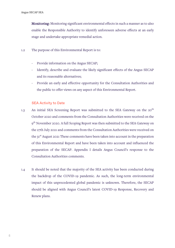Monitoring: Monitoring significant environmental effects in such a manner as to also enable the Responsible Authority to identify unforeseen adverse effects at an early stage and undertake appropriate remedial action.

- 1.2 The purpose of this Environmental Report is to:
	- Provide information on the Angus SECAP;
	- Identify, describe and evaluate the likely significant effects of the Angus SECAP and its reasonable alternatives;
	- Provide an early and effective opportunity for the Consultation Authorities and the public to offer views on any aspect of this Environmental Report.

#### SEA Activity to Date

- 1.3 An initial SEA Screening Report was submitted to the SEA Gateway on the 20<sup>th</sup> October 2020 and comments from the Consultation Authorities were received on the 9<sup>th</sup> November 2020. A full Scoping Report was then submitted to the SEA Gateway on the 27th July 2021 and comments from the Consultation Authorities were received on the 31<sup>st</sup> August 2021 These comments have been taken into account in the preparation of this Environmental Report and have been taken into account and influenced the preparation of the SECAP. Appendix I details Angus Council's response to the Consultation Authorities comments.
- 1.4 It should be noted that the majority of the SEA activity has been conducted during the backdrop of the COVID-19 pandemic. As such, the long-term environmental impact of this unprecedented global pandemic is unknown. Therefore, the SECAP should be aligned with Angus Council's latest COVID-19 Response, Recovery and Renew plans.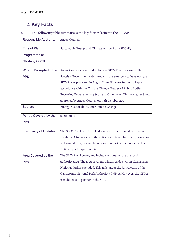# <span id="page-5-0"></span>2. Key Facts

| <b>Responsible Authority</b> | Angus Council                                                           |
|------------------------------|-------------------------------------------------------------------------|
| Title of Plan,               | Sustainable Energy and Climate Action Plan (SECAP)                      |
| Programme or                 |                                                                         |
| <b>Strategy (PPS)</b>        |                                                                         |
| What<br>Prompted<br>the      | Angus Council chose to develop the SECAP in response to the             |
| <b>PPS</b>                   | Scottish Government's declared climate emergency. Developing a          |
|                              | SECAP was proposed in Angus Council's 2019 Summary Report in            |
|                              | accordance with the Climate Change (Duties of Public Bodies:            |
|                              | Reporting Requirements) Scotland Order 2015. This was agreed and        |
|                              | approved by Angus Council on 17th October 2019.                         |
| Subject                      | Energy, Sustainability and Climate Change                               |
| Period Covered by the        | 2020-2030                                                               |
| <b>PPS</b>                   |                                                                         |
| <b>Frequency of Updates</b>  | The SECAP will be a flexible document which should be reviewed          |
|                              | regularly. A full review of the actions will take place every two years |
|                              | and annual progress will be reported as part of the Public Bodies       |
|                              | Duties report requirements.                                             |
| Area Covered by the          | The SECAP will cover, and include actions, across the local             |
| <b>PPS</b>                   | authority area. The area of Angus which resides within Cairngorms       |
|                              | National Park is excluded. This falls under the jurisdiction of the     |
|                              | Cairngorms National Park Authority (CNPA). However, the CNPA            |
|                              | is included as a partner in the SECAP.                                  |

## 2.1 The following table summarises the key facts relating to the SECAP.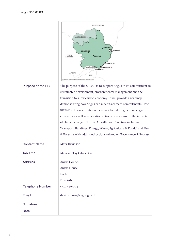| Purpose of the PPS      | ABERDEENSHIRE<br>Area of Angus with<br><b>BRECHIN</b><br><b>MONTROSE</b><br><b>KIRRIEMUIR</b><br>PERTH<br><b>FORFAR</b><br>& KINROSS<br><b>RBROATH</b><br><b>CARNOUSTIE</b><br><b>DUNDEE CIT</b><br><b>MONIFIETH</b><br>PERTH<br>FIFE<br>C) CROWN COPYRIGHT, ANGUS COUNCIL LA100023404, 2016<br>The purpose of the SECAP is to support Angus in its commitment to<br>sustainable development, environmental management and the                                                 |  |  |
|-------------------------|--------------------------------------------------------------------------------------------------------------------------------------------------------------------------------------------------------------------------------------------------------------------------------------------------------------------------------------------------------------------------------------------------------------------------------------------------------------------------------|--|--|
|                         | transition to a low carbon economy. It will provide a roadmap<br>demonstrating how Angus can meet its climate commitments. The<br>SECAP will concentrate on measures to reduce greenhouse gas<br>emissions as well as adaptation actions in response to the impacts<br>of climate change. The SECAP will cover 6 sectors including<br>Transport, Buildings, Energy, Waste, Agriculture & Food, Land Use<br>& Forestry with additional actions related to Governance & Process. |  |  |
| <b>Contact Name</b>     | Mark Davidson                                                                                                                                                                                                                                                                                                                                                                                                                                                                  |  |  |
| <b>Job Title</b>        | Manager Tay Cities Deal                                                                                                                                                                                                                                                                                                                                                                                                                                                        |  |  |
| <b>Address</b>          | Angus Council<br>Angus House,<br>Forfar,<br>DD8 1AN                                                                                                                                                                                                                                                                                                                                                                                                                            |  |  |
| <b>Telephone Number</b> | 01307 491904                                                                                                                                                                                                                                                                                                                                                                                                                                                                   |  |  |
| Email                   | davidsonma@angus.gov.uk                                                                                                                                                                                                                                                                                                                                                                                                                                                        |  |  |
| Signature               |                                                                                                                                                                                                                                                                                                                                                                                                                                                                                |  |  |
| <b>Date</b>             |                                                                                                                                                                                                                                                                                                                                                                                                                                                                                |  |  |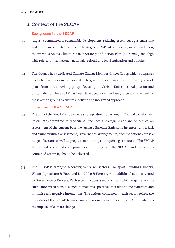## <span id="page-7-0"></span>3. Context of the SECAP

#### Background to the SECAP

- 3.1 Angus is committed to sustainable development, reducing greenhouse gas emissions and improving climate resilience. The Angus SECAP will supersede, and expand upon, the previous Angus Climate Change Strategy and Action Plan (2012-2016) and align with relevant international, national, regional and local legislation and policies.
- 3.2 The Council has a dedicated Climate Change Member Officer Group which comprises of elected members and senior staff. The group steer and monitor the delivery of work plans from three working groups focusing on Carbon Emissions, Adaptation and Sustainability. The SECAP has been developed so as to closely align with the work of these action groups to ensure a holistic and integrated approach.

#### Objectives of the SECAP

- 3.3 The aim of the SECAP is to provide strategic direction to Angus Council to help meet its climate commitments. The SECAP includes a strategic vision and objectives, an assessment of the current baseline (using a Baseline Emissions Inventory and a Risk and Vulnerabilities Assessment), governance arrangements, specific actions across a range of sectors as well as progress monitoring and reporting structures. The SECAP also includes a set of core principles informing how the SECAP, and the actions contained within it, should be delivered.
- 3.4 The SECAP is arranged according to six key sectors: Transport, Buildings, Energy, Waste, Agriculture & Food and Land Use & Forestry with additional actions related to Governance & Process. Each sector incudes a set of actions which together form a single integrated plan, designed to maximise positive interactions and synergies and minimise any negative interactions. The actions contained in each sector reflect the priorities of the SECAP to maximise emissions reductions and help Angus adapt to the impacts of climate change.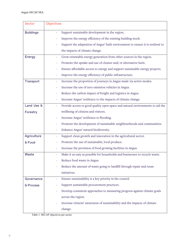| <b>Sector</b>    | <b>Objectives</b>                                                                               |  |
|------------------|-------------------------------------------------------------------------------------------------|--|
| <b>Buildings</b> | Support sustainable development in the region.                                                  |  |
|                  | Improve the energy efficiency of the existing building stock.                                   |  |
|                  | Support the adaptation of Angus' built environment to ensure it is resilient to                 |  |
|                  | the impacts of climate change.                                                                  |  |
| <b>Energy</b>    | Grow renewable energy generation from other sources in the region.                              |  |
|                  | Promote the uptake and use of cleaner and/ or alternative fuels.                                |  |
|                  | Ensure affordable access to energy and support sustainable energy projects.                     |  |
|                  | Improve the energy efficiency of public infrastructure.                                         |  |
| Transport        | Increase the proportion of journeys in Angus made via active modes.<br>$\overline{\phantom{0}}$ |  |
|                  | Increase the use of zero emission vehicles in Angus.                                            |  |
|                  | Reduce the carbon impact of freight and logistics in Angus.                                     |  |
|                  | Increase Angus' resilience to the impacts of climate change.                                    |  |
| Land Use &       | Provide access to good quality open space and natural environments to aid the                   |  |
| Forestry         | wellbeing of citizens and visitors.                                                             |  |
|                  | Increase Angus' resilience to flooding.                                                         |  |
|                  | Promote the development of sustainable neighbourhoods and communities.                          |  |
|                  | Enhance Angus' natural biodiversity.                                                            |  |
| Agriculture      | Support clean growth and innovation in the agricultural sector.                                 |  |
| & Food           | Promote the use of sustainable, local produce.                                                  |  |
|                  | Increase the provision of food growing facilities in Angus.                                     |  |
| Waste            | Make it as easy as possible for households and businesses to recycle waste.                     |  |
|                  | Reduce food waste in Angus.                                                                     |  |
|                  | Reduce the amount of waste going to landfill through repair and reuse                           |  |
|                  | initiatives.                                                                                    |  |
| Governance       | Ensure sustainability is a key priority in the council.<br>÷                                    |  |
| & Process        | Support sustainable procurement practices.                                                      |  |
|                  | Develop consistent approaches to measuring progress against climate goals<br>÷                  |  |
|                  | across the region.                                                                              |  |
|                  | Increase citizens' awareness of sustainability and the impacts of climate                       |  |
|                  | change.                                                                                         |  |

Table 1. SECAP objectives per sector.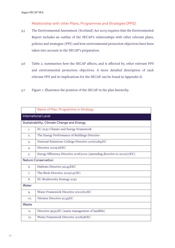#### Relationship with other Plans, Programmes and Strategies (PPS)

- 3.5 The Environmental Assessment (Scotland) Act 2005 requires that the Environmental Report includes an outline of the SECAP's relationships with other relevant plans, policies and strategies (PPS) and how environmental protection objectives have been taken into account in the SECAP's preparation.
- 3.6 Table 2. summarises how the SECAP affects, and is affected by, other relevant PPS and environmental protection objectives. A more detailed description of each relevant PPS and its implications for the SECAP can be found in Appendix II.
- 3.7 Figure 1. Illustrates the position of the SECAP in the plan hierarchy.

|       | Name of Plan, Programme or Strategy                                      |  |  |
|-------|--------------------------------------------------------------------------|--|--|
|       | <b>International Level</b>                                               |  |  |
|       | Sustainability, Climate Change and Energy                                |  |  |
| 1.    | EU 2030 Climate and Energy Framework                                     |  |  |
| 2.    | The Energy Performance of Buildings Directive                            |  |  |
| 3.    | National Emissions Ceilings Directive 2016/2284/EU                       |  |  |
| 4.    | Directive 2009/28/EC                                                     |  |  |
| 5.    | Energy Efficiency Directive 2018/2002 (amending directive to 2012/27/EU) |  |  |
|       | <b>Nature Conservation</b>                                               |  |  |
| 6.    | Habitats Directive 92/43/EEC                                             |  |  |
| 7.    | The Birds Directive 2009/147/EC.                                         |  |  |
| 8.    | EU Biodiversity Strategy 2030                                            |  |  |
| Water |                                                                          |  |  |
| 9.    | Water Framework Directive 2000/60/EC                                     |  |  |
| 10.   | Nitrates Directive 91/43/EC                                              |  |  |
| Waste |                                                                          |  |  |
| 11.   | Directive 99/31/EC (waste management of landfills)                       |  |  |
| 12.   | Waste Framework Directive 2008/98/EC                                     |  |  |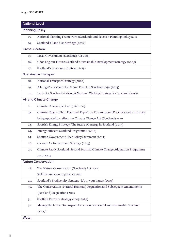| <b>National Level</b>  |                                                                                  |  |  |
|------------------------|----------------------------------------------------------------------------------|--|--|
| <b>Planning Policy</b> |                                                                                  |  |  |
| 13.                    | National Planning Framework (Scotland) and Scottish Planning Policy 2014         |  |  |
| 14.                    | Scotland's Land Use Strategy (2016)                                              |  |  |
| <b>Cross-Sectoral</b>  |                                                                                  |  |  |
| 15.                    | Local Government (Scotland) Act 2003                                             |  |  |
| 16.                    | Choosing our Future: Scotland's Sustainable Development Strategy (2005)          |  |  |
| 17.                    | Scotland's Economic Strategy (2015)                                              |  |  |
|                        | <b>Sustainable Transport</b>                                                     |  |  |
| 18.                    | National Transport Strategy (2020)                                               |  |  |
| 19.                    | A Long-Term Vision for Active Travel in Scotland 2030 (2014)                     |  |  |
| 20.                    | Let's Get Scotland Walking A National Walking Strategy for Scotland (2016)       |  |  |
|                        | Air and Climate Change                                                           |  |  |
| 21.                    | Climate Change (Scotland) Act 2019                                               |  |  |
| 22.                    | Climate Change Plan: The third Report on Proposals and Policies (2018) currently |  |  |
|                        | being updated to reflect the Climate Change Act (Scotland) 2019                  |  |  |
| 23.                    | Scottish Energy Strategy: The future of energy in Scotland (2017)                |  |  |
| 24.                    | Energy Efficient Scotland Programme (2018)                                       |  |  |
| 25.                    | Scottish Government Heat Policy Statement (2015)                                 |  |  |
| 26.                    | Cleaner Air for Scotland Strategy (2015)                                         |  |  |
| 27.                    | Climate Ready Scotland: Second Scottish Climate Change Adaptation Programme      |  |  |
|                        | 2019-2024                                                                        |  |  |
|                        | <b>Nature Conservation</b>                                                       |  |  |
| 28.                    | The Nature Conservation (Scotland) Act 2004                                      |  |  |
|                        | Wildlife and Countryside act 1981                                                |  |  |
| 29.                    | Scotland's Biodiversity Strategy- it's in your hands (2004)                      |  |  |
| 30.                    | The Conservation (Natural Habitats) Regulation and Subsequent Amendments         |  |  |
|                        | (Scotland) Regulations 2007                                                      |  |  |
| 31.                    | Scottish Forestry strategy (2019-2029)                                           |  |  |
| 32.                    | Making the Links: Greenspace for a more successful and sustainable Scotland      |  |  |
|                        | (2009)                                                                           |  |  |
| Water                  |                                                                                  |  |  |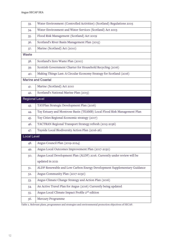| 33.                   | Water Environment (Controlled Activities) (Scotland) Regulations 2005    |  |  |  |  |
|-----------------------|--------------------------------------------------------------------------|--|--|--|--|
| 34.                   | Water Environment and Water Services (Scotland) Act 2003                 |  |  |  |  |
| $35 -$                | Flood Risk Management (Scotland) Act 2009                                |  |  |  |  |
| 36.                   | Scotland's River Basin Management Plan (2015)                            |  |  |  |  |
| 37.                   | Marine (Scotland) Act (2010)                                             |  |  |  |  |
| Waste                 |                                                                          |  |  |  |  |
| 38.                   | Scotland's Zero Waste Plan (2010)                                        |  |  |  |  |
| 39.                   | Scottish Government Charter for Household Recycling (2016)               |  |  |  |  |
| 40.                   | Making Things Last: A Circular Economy Strategy for Scotland (2016)      |  |  |  |  |
|                       | <b>Marine and Coastal</b>                                                |  |  |  |  |
| 41.                   | Marine (Scotland) Act 2010                                               |  |  |  |  |
| 42.                   | Scotland's National Marine Plan (2015)                                   |  |  |  |  |
| <b>Regional Level</b> |                                                                          |  |  |  |  |
| 43.                   | TAYPlan Strategic Development Plan (2016)                                |  |  |  |  |
| 44.                   | Tay Estuary and Montrose Basin (TEAMB) Local Flood Risk Management Plan  |  |  |  |  |
| 45.                   | Tay Cities Regional Economic strategy (2017)                             |  |  |  |  |
| 46.                   | TACTRAN Regional Transport Strategy refresh (2015-2036)                  |  |  |  |  |
| 47.                   | Tayside Local Biodiversity Action Plan (2016-26)                         |  |  |  |  |
| <b>Local Level</b>    |                                                                          |  |  |  |  |
| 48.                   | Angus Council Plan (2019-2024)                                           |  |  |  |  |
| 49.                   | Angus Local Outcomes Improvement Plan (2017-2030)                        |  |  |  |  |
| 50.                   | Angus Local Development Plan (ALDP) 2016. Currently under review will be |  |  |  |  |
|                       | updated in 2021                                                          |  |  |  |  |
| 51.                   | ALDP Renewable and Low Carbon Energy Development Supplementary Guidance  |  |  |  |  |
| 52.                   | Angus Community Plan (2017-2030)                                         |  |  |  |  |
| 53.                   | Angus Climate Change Strategy and Action Plan (2016)                     |  |  |  |  |
| 54.                   | An Active Travel Plan for Angus (2016) Currently being updated           |  |  |  |  |
| $55-$                 | Angus Local Climate Impact Profile 2 <sup>nd</sup> edition               |  |  |  |  |
| 56.                   | Mercury Programme                                                        |  |  |  |  |

Table 2. Relevant plans, programmes and strategies and environmental protection objectives of SECAP.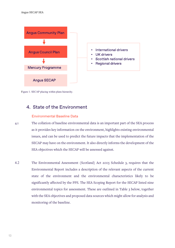<span id="page-12-0"></span>

Figure 1. SECAP placing within plans hierarchy.

## 4. State of the Environment

#### Environmental Baseline Data

- 4.1 The collation of baseline environmental data is an important part of the SEA process as it provides key information on the environment, highlights existing environmental issues, and can be used to predict the future impacts that the implementation of the SECAP may have on the environment. It also directly informs the development of the SEA objectives which the SECAP will be assessed against.
- 4.2 The Environmental Assessment (Scotland) Act 2005 Schedule 3, requires that the Environmental Report includes a description of the relevant aspects of the current state of the environment and the environmental characteristics likely to be significantly affected by the PPS. The SEA Scoping Report for the SECAP listed nine environmental topics for assessment. These are outlined in Table 3 below, together with the SEA objectives and proposed data sources which might allow for analysis and monitoring of the baseline.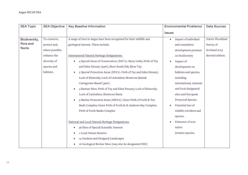| <b>SEA Topic</b><br><b>SEA Objective</b> | <b>Key Baseline Information</b>                                       | <b>Environmental Problems/</b> | <b>Data Sources</b> |
|------------------------------------------|-----------------------------------------------------------------------|--------------------------------|---------------------|
|                                          |                                                                       | <b>Issues</b>                  |                     |
| Biodiversity,<br>To conserve,            | A range of sites in Angus have been recognised for their wildlife and | Impact of individual           | Native Woodland     |
| flora and<br>protect and,                | geological interest. These include:                                   | and cumulative                 | Survey of           |
| fauna<br>where possible,                 |                                                                       | development pressure           | Scotland 2013       |
| enhance the                              | International Natural Heritage Designations:                          | on biodiversity                | Revised edition.    |
| diversity of                             | 4 Special Areas of Conservation (SAC's): Barry Links; Firth of Tay    | Impact of                      |                     |
| species and                              | and Eden Estuary (part); River South Esk; River Tay.                  | development on                 |                     |
| habitats.                                | 5 Special Protection Areas (SPA's): Firth of Tay and Eden Estuary;    | habitats and species,          |                     |
|                                          | Loch of Kinnordy; Loch of Lintrathen; Montrose Basin&                 | including                      |                     |
|                                          | Cairngorms Massif (part).                                             | international, national        |                     |
|                                          | 4 Ramsar Sites: Firth of Tay and Eden Estuary; Loch of Kinnordy;      | and local designated           |                     |
|                                          | Loch of Lintrathen; Montrose Basin.                                   | sites and European             |                     |
|                                          | 3 Marine Protection Areas (MPA's): Outer Firth of Forth & Tay         | Protected Species.             |                     |
|                                          | Bank Complex; Outer Firth of Forth & St Andrews Bay Complex;          | Potential loss of              |                     |
|                                          | Firth of Forth Banks Complex                                          | wildlife corridors and         |                     |
|                                          |                                                                       | species.                       |                     |
|                                          | National and Local Natural Heritage Designations:                     | Existence of non-              |                     |
|                                          | 36 Sites of Special Scientific Interest                               | native                         |                     |
|                                          | 1 Local Nature Reserve                                                | invasive species.              |                     |
|                                          | 14 Gardens and Designed Landscapes                                    |                                |                     |
|                                          |                                                                       |                                |                     |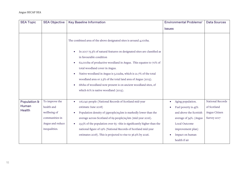| <b>SEA Topic</b> | <b>SEA Objective</b> | <b>Key Baseline Information</b>                                                      | <b>Environmental Problems/</b> | <b>Data Sources</b> |
|------------------|----------------------|--------------------------------------------------------------------------------------|--------------------------------|---------------------|
|                  |                      |                                                                                      | <b>Issues</b>                  |                     |
|                  |                      | The combined area of the above designated sites is around 4,100ha.                   |                                |                     |
|                  |                      | In 2017 75.3% of natural features on designated sites are classified as              |                                |                     |
|                  |                      | in favourable condition                                                              |                                |                     |
|                  |                      | 62,000ha of productive woodland in Angus. This equates to 70% of<br>$\bullet$        |                                |                     |
|                  |                      | total woodland cover in Angus.                                                       |                                |                     |
|                  |                      | Native woodland in Angus is 5,022ha, which is 21.7% of the total<br>$\bullet$        |                                |                     |
|                  |                      | woodland area or 2.3% of the total land area of Angus (2013).                        |                                |                     |
|                  |                      | 681ha of woodland now present is on ancient woodland sites, of                       |                                |                     |
|                  |                      | which 61% is native woodland (2013).                                                 |                                |                     |
|                  |                      |                                                                                      |                                |                     |
| Population &     | To improve the       | 116,040 people (National Records of Scotland mid-year                                | Aging population.              | National Records    |
| Human            | health and           | estimate June 2018)                                                                  | Fuel poverty is 43%            | of Scotland         |
| <b>Health</b>    | wellbeing of         | Population density of 53people/sq.km is markedly lower than the<br>$\bullet$         | and above the Scottish         | Angus Citizen       |
|                  | communities in       | average across Scotland of 69 people/sq km (mid-year 2016).                          | average of 34%. (Angus         | Survey 2017         |
|                  | Angus and reduce     | 23.5% of the population over 65 - this is significantly higher than the<br>$\bullet$ | Local Outcome                  |                     |
|                  | inequalities.        | national figure of 19% (National Records of Scotland mid-year                        | improvement plan)              |                     |
|                  |                      | estimates 2018). This is projected to rise to 36.9% by 2026.                         | Impact on human                |                     |
|                  |                      |                                                                                      | health if air                  |                     |
|                  |                      |                                                                                      |                                |                     |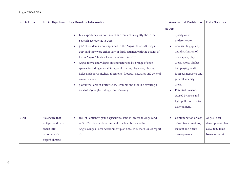| <b>SEA Topic</b> | <b>SEA Objective</b> | <b>Key Baseline Information</b>                                                | <b>Environmental Problems/</b> | <b>Data Sources</b> |
|------------------|----------------------|--------------------------------------------------------------------------------|--------------------------------|---------------------|
|                  |                      |                                                                                | <b>Issues</b>                  |                     |
|                  |                      | Life expectancy for both males and females is slightly above the<br>$\bullet$  | quality were                   |                     |
|                  |                      | Scottish average (2016-2018)                                                   | to deteriorate.                |                     |
|                  |                      | 97% of residents who responded to the Angus Citizens Survey in<br>$\bullet$    | Accessibility, quality         |                     |
|                  |                      | 2015 said they were either very or fairly satisfied with the quality of        | and distribution of            |                     |
|                  |                      | life in Angus. This level was maintained in 2017.                              | open space, play               |                     |
|                  |                      | Angus towns and villages are characterised by a range of open<br>$\bullet$     | areas, sports pitches          |                     |
|                  |                      | spaces, including coastal links, public parks, play areas, playing             | and playing fields,            |                     |
|                  |                      | fields and sports pitches, allotments, footpath networks and general           | footpath networks and          |                     |
|                  |                      | amenity areas                                                                  | general amenity                |                     |
|                  |                      | 3 Country Parks at Forfar Loch, Crombie and Monikie covering a                 | areas.                         |                     |
|                  |                      | total of 269 ha (including 111ha of water)                                     | Potential nuisance             |                     |
|                  |                      |                                                                                | caused by noise and            |                     |
|                  |                      |                                                                                | light pollution due to         |                     |
|                  |                      |                                                                                | development.                   |                     |
|                  |                      |                                                                                |                                |                     |
| Soil             | To ensure that       | 10% of Scotland's prime agricultural land is located in Angus and<br>$\bullet$ | Contamination or loss          | Angus Local         |
|                  | soil protection is   | 40% of Scotland's class 1 Agricultural land is located in                      | of soil from previous,         | development plan    |
|                  | taken into           | Angus (Angus Local development plan 2014-2024 main issues report               | current and future             | 2014-2024 main      |
|                  | account with         | 6).                                                                            | developments.                  | issues report 6     |
|                  | regard climate       |                                                                                |                                |                     |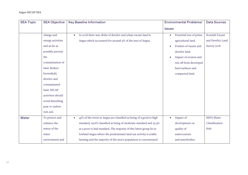| <b>SEA Topic</b> | <b>SEA Objective</b> | <b>Key Baseline Information</b>                                                   | <b>Environmental Problems/</b> | <b>Data Sources</b> |
|------------------|----------------------|-----------------------------------------------------------------------------------|--------------------------------|---------------------|
|                  |                      |                                                                                   | <b>Issues</b>                  |                     |
|                  | change and           | In 2018 there was 281ha of derelict and urban vacant land in<br>$\bullet$         | Potential loss of prime        | Scottish Vacant     |
|                  | energy activities    | Angus which accounted for around 3% of the area of Angus.                         | agricultural land.             | and Derelict Land   |
|                  | and as far as        |                                                                                   | Pockets of vacant and          | Survey 2018         |
|                  | possible prevent     |                                                                                   | derelict land.                 |                     |
|                  | the                  |                                                                                   | Impact of erosion and          |                     |
|                  | contamination of     |                                                                                   | run off from developed         |                     |
|                  | land. Reduce         |                                                                                   | hard surfaces and              |                     |
|                  | brownfield,          |                                                                                   | compacted land.                |                     |
|                  | derelict and         |                                                                                   |                                |                     |
|                  | contaminated         |                                                                                   |                                |                     |
|                  | land. SECAP          |                                                                                   |                                |                     |
|                  | activities should    |                                                                                   |                                |                     |
|                  | avoid disturbing     |                                                                                   |                                |                     |
|                  | peat or carbon       |                                                                                   |                                |                     |
|                  | rich soil.           |                                                                                   |                                |                     |
| Water            | To protect and       | 45% of the rivers in Angus are classified as being of a good to high<br>$\bullet$ | Impact of                      | <b>SEPA Water</b>   |
|                  | enhance the          | standard, 29.6% classified as being of moderate standard and 25.4%                | development on                 | Classification      |
|                  | status of the        | as a poor to bad standard. The majority of this latter group lie in               | quality of                     | Hub                 |
|                  | water                | lowland Angus where the predominant land use activity is arable                   | watercourses                   |                     |
|                  | environment and      | farming and the majority of the area's population is concentrated.                | and waterbodies.               |                     |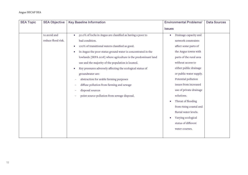| <b>SEA Topic</b> | <b>SEA Objective</b> | <b>Key Baseline Information</b>                                           | <b>Environmental Problems/</b> | <b>Data Sources</b> |
|------------------|----------------------|---------------------------------------------------------------------------|--------------------------------|---------------------|
|                  |                      |                                                                           | <b>Issues</b>                  |                     |
|                  | to avoid and         | 50.0% of lochs in Angus are classified as having a poor to<br>$\bullet$   | Drainage capacity and          |                     |
|                  | reduce flood risk.   | bad condition.                                                            | network constraints            |                     |
|                  |                      | 100% of transitional waters classified as good.<br>$\bullet$              | affect some parts of           |                     |
|                  |                      | In Angus the poor status ground water is concentrated in the<br>$\bullet$ | the Angus towns with           |                     |
|                  |                      | lowlands (SEPA 2018) where agriculture is the predominant land            | parts of the rural area        |                     |
|                  |                      | use and the majority of the population is located.                        | without access to              |                     |
|                  |                      | Key pressures adversely affecting the ecological status of<br>$\bullet$   | either public drainage         |                     |
|                  |                      | groundwater are:                                                          | or public water supply.        |                     |
|                  |                      | abstraction for arable farming purposes                                   | Potential pollution            |                     |
|                  |                      | diffuse pollution from farming and sewage                                 | issues from increased          |                     |
|                  |                      | disposal sources                                                          | use of private drainage        |                     |
|                  |                      | point source pollution from sewage disposal.                              | solutions.                     |                     |
|                  |                      |                                                                           | Threat of flooding             |                     |
|                  |                      |                                                                           | from rising coastal and        |                     |
|                  |                      |                                                                           | fluvial water levels.          |                     |
|                  |                      |                                                                           | Varying ecological             |                     |
|                  |                      |                                                                           | status of different            |                     |
|                  |                      |                                                                           | water courses.                 |                     |
|                  |                      |                                                                           |                                |                     |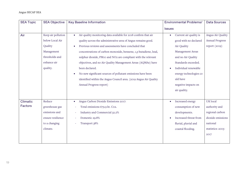| <b>SEA Topic</b> | <b>SEA Objective</b> | <b>Key Baseline Information</b>                                   | <b>Environmental Problems/</b> | <b>Data Sources</b>    |
|------------------|----------------------|-------------------------------------------------------------------|--------------------------------|------------------------|
|                  |                      |                                                                   | <b>Issues</b>                  |                        |
| Air              | Keep air pollution   | Air quality monitoring data available for 2018 confirm that air   | Current air quality is         | Angus Air Quality      |
|                  | below Local Air      | quality across the administrative area of Angus remains good.     | good with no declared          | <b>Annual Progress</b> |
|                  | Quality              | Previous reviews and assessments have concluded that<br>$\bullet$ | Air Quality                    | report (2019)          |
|                  | Management           | concentrations of carbon monoxide, benzene, 1,3-butadiene, lead,  | Management Areas               |                        |
|                  | thresholds and       | sulphur dioxide, PM10 and NO2 are compliant with the relevant     | and no Air Quality             |                        |
|                  | enhance air          | objectives, and no Air Quality Management Areas (AQMAs) have      | Standards exceeded.            |                        |
|                  | quality.             | been declared.                                                    | Individual renewable           |                        |
|                  |                      | No new significant sources of pollutant emissions have been       | energy technologies co         |                        |
|                  |                      | identified within the Angus Council area. (2019 Angus Air Quality | uld have                       |                        |
|                  |                      | Annual Progress report)                                           | negative impacts on            |                        |
|                  |                      |                                                                   | air quality.                   |                        |
|                  |                      |                                                                   |                                |                        |
| <b>Climatic</b>  | Reduce               | Angus Carbon Dioxide Emissions 2017:<br>$\bullet$                 | Increased energy               | UK local               |
| <b>Factors</b>   | greenhouse gas       | Total emissions 679.9 kt. Co2.                                    | consumption of new             | authority and          |
|                  | emissions and        | Industry and Commercial 32.2%                                     | developments.                  | regional carbon        |
|                  | ensure resilience    | Domestic 29.8%                                                    | Increased threat from          | dioxide emissions      |
|                  | to a changing        | Transport 38%                                                     | fluvial, pluvial and           | national               |
|                  | climate.             |                                                                   | coastal flooding.              | statistics: 2005-      |
|                  |                      |                                                                   |                                | 2017                   |
|                  |                      |                                                                   |                                |                        |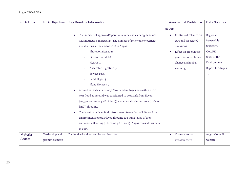| <b>SEA Topic</b> | <b>SEA Objective</b> | <b>Key Baseline Information</b>                                                  | <b>Environmental Problems/</b> | <b>Data Sources</b> |
|------------------|----------------------|----------------------------------------------------------------------------------|--------------------------------|---------------------|
|                  |                      |                                                                                  | <b>Issues</b>                  |                     |
|                  |                      | The number of approved/operational renewable energy schemes<br>$\bullet$         | Continued reliance on          | Regional            |
|                  |                      | within Angus is increasing. The number of renewable electricity                  | cars and associated            | Renewable           |
|                  |                      | installations at the end of 2018 in Angus:                                       | emissions.                     | Statistics.         |
|                  |                      | Photovoltaics: 2024                                                              | Effect on greenhouse           | Gov.UK              |
|                  |                      | Onshore wind: 88                                                                 | gas emissions, climate         | State of the        |
|                  |                      | Hydro: 15                                                                        | change and global              | Environment         |
|                  |                      | Anaerobic Digestion: 3                                                           | warming.                       | Report for Angus    |
|                  |                      | Sewage gas: 1                                                                    |                                | 2011                |
|                  |                      | Landfill gas: 3                                                                  |                                |                     |
|                  |                      | Plant Biomass: 7                                                                 |                                |                     |
|                  |                      | Around 11,120 hectares or 5.1% of land in Angus lies within 1:200<br>$\bullet$   |                                |                     |
|                  |                      | year flood zones and was considered to be at risk from fluvial                   |                                |                     |
|                  |                      | (10,340 hectares (4.7% of land)) and coastal (780 hectares (0.4% of              |                                |                     |
|                  |                      | land)) flooding.                                                                 |                                |                     |
|                  |                      | The latest data I can find is from 2011. Angus Council State of the<br>$\bullet$ |                                |                     |
|                  |                      | environment report. Fluvial flooding 103.5km2 (4.7% of area)                     |                                |                     |
|                  |                      | and coastal flooding 7.8km2 (0.4% of area). Angus re-used this data              |                                |                     |
|                  |                      | in 2015.                                                                         |                                |                     |
| <b>Material</b>  | To develop and       | Distinctive local vernacular architecture                                        | Constraints on                 | Angus Council       |
| <b>Assets</b>    | promote a more       |                                                                                  | infrastructure                 | website             |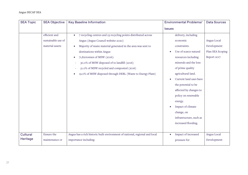| <b>SEA Topic</b> | <b>SEA Objective</b> | <b>Key Baseline Information</b>                                             | <b>Environmental Problems/</b> | <b>Data Sources</b> |
|------------------|----------------------|-----------------------------------------------------------------------------|--------------------------------|---------------------|
|                  |                      |                                                                             | <b>Issues</b>                  |                     |
|                  | efficient and        | 7 recycling centres and 23 recycling points distributed across<br>$\bullet$ | delivery, including            |                     |
|                  | sustainable use of   | Angus (Angus Council website 2020)                                          | economic                       | Angus Local         |
|                  | material assets      | Majority of waste material generated in the area was sent to<br>$\bullet$   | constraints.                   | Development         |
|                  |                      | destinations within Angus                                                   | Use of scarce natural          | Plan SEA Scoping    |
|                  |                      | 71,821tonnes of MSW (2016):<br>$\bullet$                                    | resources including            | Report 2017         |
|                  |                      | 30.0% of MSW disposed of to landfill (2016)                                 | minerals and the loss          |                     |
|                  |                      | 51.0% of MSW recycled and composted (2016)                                  | of prime quality               |                     |
|                  |                      | 19.0% of MSW disposed through DERL (Waste to Energy Plant)<br>$\bullet$     | agricultural land.             |                     |
|                  |                      |                                                                             | Current land uses have         |                     |
|                  |                      |                                                                             | the potential to be            |                     |
|                  |                      |                                                                             | affected by changes to         |                     |
|                  |                      |                                                                             | policy on renewable            |                     |
|                  |                      |                                                                             | energy.                        |                     |
|                  |                      |                                                                             | Impact of climate              |                     |
|                  |                      |                                                                             | change, on                     |                     |
|                  |                      |                                                                             | infrastructure, such as        |                     |
|                  |                      |                                                                             | increased flooding.            |                     |
|                  |                      |                                                                             |                                |                     |
| Cultural         | Ensure the           | Angus has a rich historic built environment of national, regional and local | Impact of increased            | Angus Local         |
| Heritage         | maintenance or       | importance including:                                                       | pressure for                   | Development         |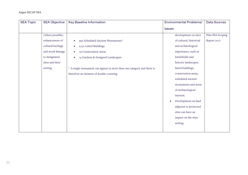| <b>SEA Topic</b> | <b>SEA Objective</b> | <b>Key Baseline Information</b>                                       | <b>Environmental Problems/</b>   | <b>Data Sources</b> |
|------------------|----------------------|-----------------------------------------------------------------------|----------------------------------|---------------------|
|                  |                      |                                                                       | <b>Issues</b>                    |                     |
|                  | (where possible)     |                                                                       | development on sites             | Plan SEA Scoping    |
|                  | enhancement of       | 392 Scheduled Ancient Monuments*<br>$\bullet$                         | of cultural, historical          | Report 2017         |
|                  | cultural heritage    | 2,151 Listed Buildings<br>$\bullet$                                   | and archaeological               |                     |
|                  | and avoid damage     | 19 Conservation Areas<br>$\bullet$                                    | importance, such as              |                     |
|                  | to designated        | 14 Gardens & Designed Landscapes<br>$\bullet$                         | battlefields and                 |                     |
|                  | sites and their      |                                                                       | historic landscapes,             |                     |
|                  | setting.             | * A single monument can appear in more than one category and there is | listed buildings,                |                     |
|                  |                      | therefore an element of double counting.                              | conservation areas,              |                     |
|                  |                      |                                                                       | scheduled ancient                |                     |
|                  |                      |                                                                       | monuments and areas              |                     |
|                  |                      |                                                                       | of archaeological                |                     |
|                  |                      |                                                                       | interest.                        |                     |
|                  |                      |                                                                       | Development on land<br>$\bullet$ |                     |
|                  |                      |                                                                       | adjacent to protected            |                     |
|                  |                      |                                                                       | sites can have an                |                     |
|                  |                      |                                                                       | impact on the sites              |                     |
|                  |                      |                                                                       | setting.                         |                     |
|                  |                      |                                                                       |                                  |                     |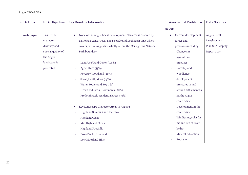| <b>SEA Topic</b> | <b>SEA Objective</b> | <b>Key Baseline Information</b>                                          | <b>Environmental Problems/</b>   | <b>Data Sources</b> |
|------------------|----------------------|--------------------------------------------------------------------------|----------------------------------|---------------------|
|                  |                      |                                                                          | <b>Issues</b>                    |                     |
| Landscape        | Ensure the           | None of the Angus Local Development Plan area is covered by<br>$\bullet$ | Current development<br>$\bullet$ | Angus Local         |
|                  | character,           | National Scenic Areas. The Deeside and Lochnagar NSA which               | forces and                       | Development         |
|                  | diversity and        | covers part of Angus lies wholly within the Cairngorms National          | pressures including:             | Plan SEA Scoping    |
|                  | special quality of   | Park boundary                                                            | Changes in                       | Report 2017         |
|                  | the Angus            |                                                                          | agricultural                     |                     |
|                  | landscape is         | Land Use/Land Cover (1988):                                              | practices                        |                     |
|                  | protected.           | Agriculture (33%)                                                        | Forestry and                     |                     |
|                  |                      | Forestry/Woodland (16%)                                                  | woodlands                        |                     |
|                  |                      | Scrub/Heath/Moor (45%)                                                   | development                      |                     |
|                  |                      | Water Bodies and Bog (3%)                                                | pressures in and                 |                     |
|                  |                      | Urban Industrial/Commercial (2%)                                         | around settlements a             |                     |
|                  |                      | Predominately residential areas (<1%)                                    | nd the Angus                     |                     |
|                  |                      |                                                                          | countryside.                     |                     |
|                  |                      | Key Landscape Character Areas in Angus*:<br>$\bullet$                    | Development in the               |                     |
|                  |                      | Highland Summits and Plateaux                                            | countryside                      |                     |
|                  |                      | <b>Highland Glens</b>                                                    | Windfarms, solar far             |                     |
|                  |                      | Mid Highland Glens                                                       | ms and run of river              |                     |
|                  |                      | <b>Highland Foothills</b>                                                | hydro.                           |                     |
|                  |                      | <b>Broad Valley Lowland</b>                                              | Mineral extraction               |                     |
|                  |                      | Low Moorland Hills                                                       | Tourism.                         |                     |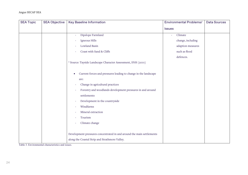| <b>SEA Topic</b> | <b>SEA Objective</b> | <b>Key Baseline Information</b>                                              | <b>Environmental Problems/</b> | <b>Data Sources</b> |
|------------------|----------------------|------------------------------------------------------------------------------|--------------------------------|---------------------|
|                  |                      |                                                                              | <b>Issues</b>                  |                     |
|                  |                      | Dipslope Farmland                                                            | Climate                        |                     |
|                  |                      | Igneous Hills                                                                | change, including              |                     |
|                  |                      | Lowland Basin                                                                | adaption measures              |                     |
|                  |                      | Coast with Sand & Cliffs                                                     | such as flood                  |                     |
|                  |                      |                                                                              | defences.                      |                     |
|                  |                      | * Source: Tayside Landscape Character Assessment, SNH (2001)                 |                                |                     |
|                  |                      |                                                                              |                                |                     |
|                  |                      | Current forces and pressures leading to change in the landscape<br>$\bullet$ |                                |                     |
|                  |                      | are:                                                                         |                                |                     |
|                  |                      | Change in agricultural practices                                             |                                |                     |
|                  |                      | Forestry and woodlands development pressures in and around                   |                                |                     |
|                  |                      | settlements                                                                  |                                |                     |
|                  |                      | Development in the countryside                                               |                                |                     |
|                  |                      | Windfarms                                                                    |                                |                     |
|                  |                      | Mineral extraction                                                           |                                |                     |
|                  |                      | Tourism                                                                      |                                |                     |
|                  |                      | Climate change                                                               |                                |                     |
|                  |                      |                                                                              |                                |                     |
|                  |                      | Development pressures concentrated in and around the main settlements        |                                |                     |
|                  |                      | along the Coastal Strip and Strathmore Valley.                               |                                |                     |

Table 3. Environmental characteristics and issues.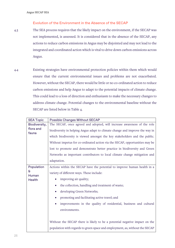#### Evolution of the Environment in the Absence of the SECAP

- 4.3 The SEA process requires that the likely impact on the environment, if the SECAP was not implemented, is assessed. It is considered that in the absence of the SECAP, any actions to reduce carbon emissions in Angus may be disjointed and may not lead to the integrated and coordinated action which is vital to drive down carbon emissions across Angus.
- 4.4 Existing strategies have environmental protection policies within them which would ensure that the current environmental issues and problems are not exacerbated. However, without the SECAP, there would be little or no co-ordinated action to reduce carbon emissions and help Angus to adapt to the potential impacts of climate change. This could lead to a loss of direction and enthusiasm to make the necessary changes to address climate change. Potential changes to the environmental baseline without the SECAP are listed below in Table 4.

| <b>SEA Topic</b>   | <b>Possible Changes Without SECAP</b>                                                                                                                    |  |  |
|--------------------|----------------------------------------------------------------------------------------------------------------------------------------------------------|--|--|
| Biodiversity,      | The SECAP, once agreed and adopted, will increase awareness of the role                                                                                  |  |  |
| flora and<br>fauna | biodiversity in helping Angus adapt to climate change and improve the way in                                                                             |  |  |
|                    | which biodiversity is viewed amongst the key stakeholders and the public.                                                                                |  |  |
|                    | Without impetus for co-ordinated action via the SECAP, opportunities may be<br>lost to promote and demonstrate better practice in biodiversity and Green |  |  |
|                    |                                                                                                                                                          |  |  |
|                    | Networks as important contributors to local climate change mitigation and                                                                                |  |  |
|                    | adaptation.                                                                                                                                              |  |  |
| Population         | Actions within the SECAP have the potential to improve human health in a                                                                                 |  |  |
| £<br>Human         | variety of different ways. These include:                                                                                                                |  |  |
| <b>Health</b>      | improving air quality;                                                                                                                                   |  |  |
|                    | the collection, handling and treatment of waste;<br>$\bullet$                                                                                            |  |  |
|                    | developing Green Networks;<br>$\bullet$                                                                                                                  |  |  |
|                    | promoting and facilitating active travel; and<br>$\bullet$                                                                                               |  |  |
|                    | improvements in the quality of residential, business and cultural<br>$\bullet$                                                                           |  |  |
|                    | environments.                                                                                                                                            |  |  |
|                    |                                                                                                                                                          |  |  |
|                    | Without the SECAP there is likely to be a potential negative impact on the                                                                               |  |  |
|                    | population with regards to green space and employment, as, without the SECAP                                                                             |  |  |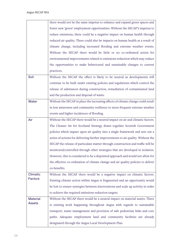|                 | there would not be the same impetus to enhance and expand green spaces and        |
|-----------------|-----------------------------------------------------------------------------------|
|                 | foster new 'green' employment opportunities. Without the SECAP's impetus to       |
|                 | reduce emissions, there could be a negative impact on human health through        |
|                 | reduced air quality. There could also be impacts on human health as a result of   |
|                 | climate change, including increased flooding and extreme weather events.          |
|                 | Without the SECAP there would be little or no co-ordinated action for             |
|                 | environmental improvements related to emissions reduction which may reduce        |
|                 | the opportunities to make behavioural and sustainable changes to current          |
|                 | practices.                                                                        |
| Soil            | Without the SECAP the effect is likely to be neutral as developments will         |
|                 | continue to be built under existing policies and regulations which control the    |
|                 | release of substances during construction, remediation of contaminated land       |
|                 | and the production and disposal of waste.                                         |
| Water           | Without the SECAP in place the increasing effects of climate change could result  |
|                 | in less awareness and community resilience to more frequent extreme weather       |
|                 | events and higher incidences of flooding.                                         |
| Air             | Without the SECAP there would be a neutral impact on air and climatic factors.    |
|                 | The Cleaner Air for Scotland Strategy draws together Scottish Government          |
|                 | policies which impact upon air quality into a single framework and sets out a     |
|                 | series of actions for delivering further improvements to air quality. Without the |
|                 | SECAP the release of particulate matter through construction and traffic will be  |
|                 | monitored/controlled through other strategies that are developed in isolation.    |
|                 | However, this is considered to be a disjointed approach and would not allow for   |
|                 | the effective co-ordination of climate change and air quality policies to deliver |
|                 | co-benefits.                                                                      |
| <b>Climatic</b> | Without the SECAP there would be a negative impact on climatic factors.           |
| <b>Factors</b>  | Existing climate action within Angus is fragmented and an opportunity would       |
|                 | be lost to ensure synergies between interventions and scale up activity in order  |
|                 | to achieve the required emissions reduction targets.                              |
| <b>Material</b> | Without the SECAP there would be a neutral impact on material assets. There       |
| <b>Assets</b>   | is existing work happening throughout Angus with regards to sustainable           |
|                 | transport, waste management and provision of safe pedestrian links and core       |
|                 | paths. Adequate employment land and community facilities are already              |
|                 | designated through the Angus Local Development Plan.                              |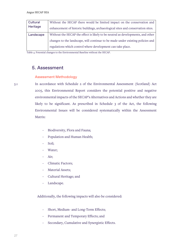<span id="page-26-0"></span>

| Cultural  | Without the SECAP there would be limited impact on the conservation and         |
|-----------|---------------------------------------------------------------------------------|
| Heritage  | enhancement of historic buildings, archaeological sites and conservation sites. |
| Landscape | Without the SECAP the effect is likely to be neutral as developments, and other |
|           | changes to the landscape, will continue to be made under existing policies and  |
|           | regulations which control where development can take place.                     |

Table 4. Potential changes to the Environmental Baseline without the SECAP.

## 5. Assessment

#### Assessment Methodology

5.1 In accordance with Schedule 2 of the Environmental Assessment (Scotland) Act 2005, this Environmental Report considers the potential positive and negative environmental impacts of the SECAP's Alternatives and Actions and whether they are likely to be significant. As prescribed in Schedule 3 of the Act, the following Environmental Issues will be considered systematically within the Assessment Matrix:

- Biodiversity, Flora and Fauna;
- Population and Human Health;
- Soil;
- Water;
- Air;
- Climatic Factors;
- Material Assets;
- Cultural Heritage; and
- Landscape.

Additionally, the following impacts will also be considered:

- Short, Medium- and Long-Term Effects;
- Permanent and Temporary Effects; and
- Secondary, Cumulative and Synergistic Effects.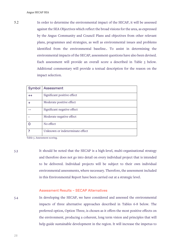5.2 In order to determine the environmental impact of the SECAP, it will be assessed against the SEA Objectives which reflect the broad visions for the area, as expressed by the Angus Community and Council Plans and objectives from other relevant plans, programmes and strategies, as well as environmental issues and problems identified from the environmental baseline.. To assist in determining the environmental impacts of the SECAP, assessment questions have also been devised. Each assessment will provide an overall score a described in Table 5 below. Additional commentary will provide a textual description for the reason on the impact selection.

| Symbol | Assessment                      |
|--------|---------------------------------|
| $++$   | Significant positive effect     |
|        | Moderate positive effect        |
|        | Significant negative effect     |
|        | Moderate negative effect        |
|        | No effect                       |
|        | Unknown or indeterminate effect |

Table 5. Assessment scoring.

5.3 It should be noted that the SECAP is a high-level, multi-organisational strategy and therefore does not go into detail on every individual project that is intended to be delivered. Individual projects will be subject to their own individual environmental assessments, where necessary. Therefore, the assessment included in this Environmental Report have been carried out at a strategic level.

#### Assessment Results – SECAP Alternatives

5.4 In developing the SECAP, we have considered and assessed the environmental impacts of three alternative approaches described in Tables 6-8 below. The preferred option, Option Three, is chosen as it offers the most positive effects on the environment, producing a coherent, long term vision and principles that will help guide sustainable development in the region. It will increase the impetus to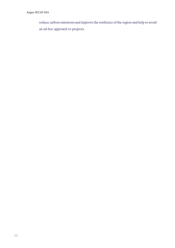reduce carbon emissions and improve the resilience of the region and help to avoid an ad-hoc approach to projects.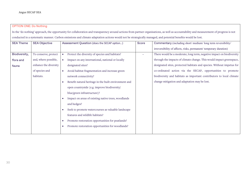#### OPTION ONE: Do Nothing

In the 'do nothing' approach, the opportunity for collaboration and transparency around actions from partner organisations, as well as accountability and measurement of progress is not conducted in a systematic manner. Carbon emissions and climate adaptation actions would not be strategically managed, and potential benefits would be lost.

| <b>SEA Theme</b> | <b>SEA Objective</b>  | Assessment Question (does the SECAP option)                      | Score | Commentary (including short/medium/long term reversibility/           |
|------------------|-----------------------|------------------------------------------------------------------|-------|-----------------------------------------------------------------------|
|                  |                       |                                                                  |       | irreversibility of affects, risks, permanent/temporary duration)      |
| Biodiversity,    | To conserve, protect  | Protect the diversity of species and habitats?                   |       | There would be a moderate, long term, negative impact on biodiversity |
| flora and        | and, where possible,  | Impact on any international, national or locally                 |       | through the impacts of climate change. This would impact greenspace,  |
| fauna            | enhance the diversity | designated sites?                                                |       | designated sites, protected habitats and species. Without impetus for |
|                  | of species and        | Avoid habitat fragmentation and increase green<br>$\bullet$      |       | co-ordinated action via the SECAP, opportunities to promote           |
|                  | habitats.             | network connectivity?                                            |       | biodiversity and habitats as important contributors to local climate  |
|                  |                       | Benefit natural heritage in the built environment and            |       | change mitigation and adaptation may be lost.                         |
|                  |                       | open countryside (e.g. improve biodiversity/                     |       |                                                                       |
|                  |                       | blue/green infrastructure)?                                      |       |                                                                       |
|                  |                       | Impact on areas of existing native trees, woodlands<br>$\bullet$ |       |                                                                       |
|                  |                       | and hedges?                                                      |       |                                                                       |
|                  |                       | Seek to promote watercourses as valuable landscape               |       |                                                                       |
|                  |                       | features and wildlife habitats?                                  |       |                                                                       |
|                  |                       | Promote restoration opportunities for peatlands?                 |       |                                                                       |
|                  |                       | Promote restoration opportunities for woodlands?                 |       |                                                                       |
|                  |                       |                                                                  |       |                                                                       |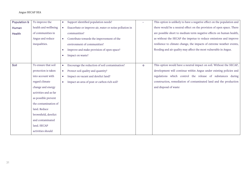#### Angus SECAP SEA

| Population &  | To improve the        | Support identified population needs?                                |         | This option is unlikely to have a negative effect on the population and |
|---------------|-----------------------|---------------------------------------------------------------------|---------|-------------------------------------------------------------------------|
| Human         | health and wellbeing  | Exacerbate or improve air, water or noise pollution in<br>$\bullet$ |         | there would be a neutral effect on the provision of open space. There   |
| <b>Health</b> | of communities in     | communities?                                                        |         | are possible short to medium term negative effects on human health,     |
|               | Angus and reduce      | Contribute towards the improvement of the<br>$\bullet$              |         | as without the SECAP the impetus to reduce emissions and improve        |
|               | inequalities.         | environment of communities?                                         |         | resilience to climate change, the impacts of extreme weather events,    |
|               |                       | Improve and make provision of open space?                           |         | flooding and air quality may affect the most vulnerable in Angus.       |
|               |                       | Impact on waste?<br>$\bullet$                                       |         |                                                                         |
|               |                       |                                                                     |         |                                                                         |
| Soil          | To ensure that soil   | Encourage the reduction of soil contamination?<br>$\bullet$         | $\circ$ | This option would have a neutral impact on soil. Without the SECAP,     |
|               | protection is taken   | Protect soil quality and quantity?<br>$\bullet$                     |         | development will continue within Angus under existing policies and      |
|               | into account with     | Impact on vacant and derelict land?<br>$\bullet$                    |         | regulations which control the release of substances during              |
|               | regard climate        | Impact an area of peat or carbon rich soil?<br>$\bullet$            |         | construction, remediation of contaminated land and the production       |
|               | change and energy     |                                                                     |         | and disposal of waste                                                   |
|               | activities and as far |                                                                     |         |                                                                         |
|               | as possible prevent   |                                                                     |         |                                                                         |
|               | the contamination of  |                                                                     |         |                                                                         |
|               | land. Reduce          |                                                                     |         |                                                                         |
|               | brownfield, derelict  |                                                                     |         |                                                                         |
|               | and contaminated      |                                                                     |         |                                                                         |
|               | land. SECAP           |                                                                     |         |                                                                         |
|               | activities should     |                                                                     |         |                                                                         |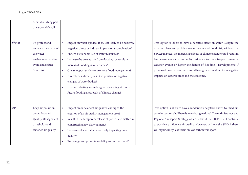| Angus SECAP SEA |
|-----------------|
|-----------------|

|       | avoid disturbing peat |           |                                                              |                                                                          |
|-------|-----------------------|-----------|--------------------------------------------------------------|--------------------------------------------------------------------------|
|       | or carbon rich soil.  |           |                                                              |                                                                          |
|       |                       |           |                                                              |                                                                          |
|       |                       |           |                                                              |                                                                          |
| Water | To protect and        |           | Impact on water quality? If so, is it likely to be positive, | This option is likely to have a negative effect on water. Despite the    |
|       | enhance the status of |           | negative, direct or indirect impacts or a combination?       | existing plans and policies around water and flood risk, without the     |
|       | the water             |           | Ensure sustainable use of water resources?                   | SECAP in place, the increasing effects of climate change could result in |
|       | environment and to    | $\bullet$ | Increase the area at risk from flooding, or result in        | less awareness and community resilience to more frequent extreme         |
|       | avoid and reduce      |           | increased flooding in other areas?                           | weather events or higher incidences of flooding. Developments if         |
|       | flood risk.           |           | Create opportunities to promote flood management?            | processed on an ad-hoc basis could have greater medium term negative     |
|       |                       |           | Directly or indirectly result in positive or negative        | impacts on watercourses and the coastline.                               |
|       |                       |           | changes of water bodies?                                     |                                                                          |
|       |                       |           | risk exacerbating areas designated as being at risk of       |                                                                          |
|       |                       |           | future flooding as a result of climate change?               |                                                                          |
|       |                       |           |                                                              |                                                                          |
|       |                       |           |                                                              |                                                                          |
| Air   | Keep air pollution    |           | Impact on or be affect air quality leading to the            | This option is likely to have a moderately negative, short-to-medium     |
|       | below Local Air       |           | creation of an air quality management area?                  | term impact on air. There is an existing national Clean Air Strategy and |
|       | Quality Management    | $\bullet$ | Result in the temporary release of particulate matter in     | Regional Transport Strategy which, without the SECAP, will continue      |
|       | thresholds and        |           | constructing new development?                                | to positively influence air quality. However, without the SECAP there    |
|       | enhance air quality.  |           | Increase vehicle traffic, negatively impacting on air        | will significantly less focus on low carbon transport.                   |
|       |                       |           | quality?                                                     |                                                                          |
|       |                       |           | Encourage and promote mobility and active travel?            |                                                                          |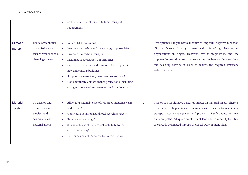#### Angus SECAP SEA

|                 |                        |           | seek to locate development to limit transport          |         |                                                                         |
|-----------------|------------------------|-----------|--------------------------------------------------------|---------|-------------------------------------------------------------------------|
|                 |                        |           | requirements?                                          |         |                                                                         |
|                 |                        |           |                                                        |         |                                                                         |
|                 |                        |           |                                                        |         |                                                                         |
| Climatic        | Reduce greenhouse      | $\bullet$ | Reduce GHG emissions?                                  |         | This option is likely to have a medium to long term, negative impact on |
| factors         | gas emissions and      | $\bullet$ | Promote low carbon and local energy opportunities?     |         | climatic factors. Existing climate action is taking place across        |
|                 | ensure resilience to a | $\bullet$ | Promote low carbon transport?                          |         | organisations in Angus. However, this is fragmented, and the            |
|                 | changing climate.      |           | Maximise sequestration opportunities?                  |         | opportunity would be lost to ensure synergies between interventions     |
|                 |                        |           | Contribute to energy and resource efficiency within    |         | and scale up activity in order to achieve the required emissions        |
|                 |                        |           | new and existing buildings?                            |         | reduction target.                                                       |
|                 |                        |           | Support home working, broadband roll-out etc.?         |         |                                                                         |
|                 |                        |           | Consider future climate change projections (including  |         |                                                                         |
|                 |                        |           | changes to sea level and areas at risk from flooding)? |         |                                                                         |
|                 |                        |           |                                                        |         |                                                                         |
|                 |                        |           |                                                        |         |                                                                         |
| <b>Material</b> | To develop and         | $\bullet$ | Allow for sustainable use of resources including waste | $\circ$ | This option would have a neutral impact on material assets. There is    |
| assets          | promote a more         |           | and energy?                                            |         | existing work happening across Angus with regards to sustainable        |
|                 | efficient and          |           | Contribute to national and local recycling targets?    |         | transport, waste management and provision of safe pedestrian links      |
|                 | sustainable use of     | $\bullet$ | Reduce waste arisings?                                 |         | and core paths. Adequate employment land and community facilities       |
|                 | material assets        |           | Sustainable use of resources? Contribute to the        |         | are already designated through the Local Development Plan.              |
|                 |                        |           | circular economy?                                      |         |                                                                         |
|                 |                        |           | Deliver sustainable & accessible infrastructure?       |         |                                                                         |
|                 |                        |           |                                                        |         |                                                                         |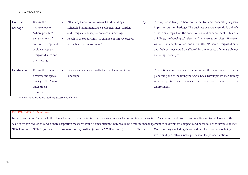| Cultural  | Ensure the            | Affect any Conservation Areas, listed buildings,       | $O/-$   | This option is likely to have both a neutral and moderately negative    |
|-----------|-----------------------|--------------------------------------------------------|---------|-------------------------------------------------------------------------|
| heritage  | maintenance or        | Scheduled monuments, Archaeological sites, Garden      |         | impact on cultural heritage. The business as usual scenario is unlikely |
|           | (where possible)      | and Designed landscapes, and/or their settings?        |         | to have any impact on the conservation and enhancement of historic      |
|           | enhancement of        | Result in the opportunity to enhance or improve access |         | buildings, archaeological sites and conservation sites. However,        |
|           | cultural heritage and | to the historic environment?                           |         | without the adaptation actions in the SECAP, some designated sites      |
|           | avoid damage to       |                                                        |         | and their settings could be affected by the impacts of climate change   |
|           | designated sites and  |                                                        |         | including flooding etc.                                                 |
|           | their setting.        |                                                        |         |                                                                         |
|           |                       |                                                        |         |                                                                         |
| Landscape | Ensure the character, | protect and enhance the distinctive character of the   | $\circ$ | This option would have a neutral impact on the environment. Existing    |
|           | diversity and special | landscape?                                             |         | plans and policies including the Angus Local Development Plan already   |
|           | quality of the Angus  |                                                        |         | seek to protect and enhance the distinctive character of the            |
|           | landscape is          |                                                        |         | environment.                                                            |
|           | protected.            |                                                        |         |                                                                         |

Table 6. Option One: Do Nothing assessment of affects.

| <b>OPTION TWO: Do Minimum</b>                                                                                                                                                          |                      |                                             |       |                                                                  |  |
|----------------------------------------------------------------------------------------------------------------------------------------------------------------------------------------|----------------------|---------------------------------------------|-------|------------------------------------------------------------------|--|
| In the 'do minimum' approach, the Council would produce a limited plan covering only a selection of its main activities. These would be delivered, and results monitored, However, the |                      |                                             |       |                                                                  |  |
| scale of carbon reductions and climate adaptation measures would be insufficient. There would be a minimum management of environmental impacts and potential benefits would be lost.   |                      |                                             |       |                                                                  |  |
| <b>SEA Theme</b>                                                                                                                                                                       | <b>SEA Objective</b> | Assessment Question (does the SECAP option) | Score | Commentary (including short/medium/long term reversibility/      |  |
|                                                                                                                                                                                        |                      |                                             |       | irreversibility of affects, risks, permanent/temporary duration) |  |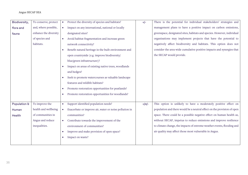#### Angus SECAP SEA

| Biodiversity, | To conserve, protect  | Protect the diversity of species and habitats?                      | $+/-$   | There is the potential for individual stakeholders' strategies and      |
|---------------|-----------------------|---------------------------------------------------------------------|---------|-------------------------------------------------------------------------|
| flora and     | and, where possible,  | Impact on any international, national or locally<br>$\bullet$       |         | management plans to have a positive impact on carbon emissions,         |
| fauna         | enhance the diversity | designated sites?                                                   |         | greenspace, designated sites, habitats and species. However, individual |
|               | of species and        | Avoid habitat fragmentation and increase green                      |         | organisations may implement projects that have the potential to         |
|               | habitats.             | network connectivity?                                               |         | negatively affect biodiversity and habitats. This option does not       |
|               |                       | Benefit natural heritage in the built environment and               |         | consider the area-wide cumulative positive impacts and synergies that   |
|               |                       | open countryside (e.g. improve biodiversity/                        |         | the SECAP would provide.                                                |
|               |                       | blue/green infrastructure)?                                         |         |                                                                         |
|               |                       | Impact on areas of existing native trees, woodlands                 |         |                                                                         |
|               |                       | and hedges?                                                         |         |                                                                         |
|               |                       | Seek to promote watercourses as valuable landscape                  |         |                                                                         |
|               |                       | features and wildlife habitats?                                     |         |                                                                         |
|               |                       | Promote restoration opportunities for peatlands?                    |         |                                                                         |
|               |                       | Promote restoration opportunities for woodlands?                    |         |                                                                         |
|               |                       |                                                                     |         |                                                                         |
| Population &  | To improve the        | Support identified population needs?                                | $+ O -$ | This option is unlikely to have a moderately positive effect on         |
| Human         | health and wellbeing  | Exacerbate or improve air, water or noise pollution in<br>$\bullet$ |         | population and there would be a neutral effect on the provision of open |
| Health        | of communities in     | communities?                                                        |         | space. There could be a possible negative effect on human health as,    |
|               | Angus and reduce      | Contribute towards the improvement of the<br>$\bullet$              |         | without SECAP, impetus to reduce emissions and improve resilience       |
|               | inequalities.         | environment of communities?                                         |         | to climate change, the impacts of extreme weather events, flooding and  |
|               |                       | Improve and make provision of open space?                           |         | air quality may affect those most vulnerable in Angus.                  |
|               |                       | Impact on waste?                                                    |         |                                                                         |
|               |                       |                                                                     |         |                                                                         |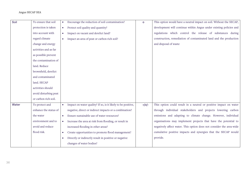#### Angus SECAP SEA

| Soil  | To ensure that soil   | Encourage the reduction of soil contamination?                            | $\circ$ | This option would have a neutral impact on soil. Without the SECAP,  |
|-------|-----------------------|---------------------------------------------------------------------------|---------|----------------------------------------------------------------------|
|       | protection is taken   | Protect soil quality and quantity?<br>$\bullet$                           |         | development will continue within Angus under existing policies and   |
|       | into account with     | Impact on vacant and derelict land?<br>$\bullet$                          |         | regulations which control the release of substances during           |
|       | regard climate        | Impact an area of peat or carbon rich soil?<br>$\bullet$                  |         | construction, remediation of contaminated land and the production    |
|       | change and energy     |                                                                           |         | and disposal of waste                                                |
|       | activities and as far |                                                                           |         |                                                                      |
|       | as possible prevent   |                                                                           |         |                                                                      |
|       | the contamination of  |                                                                           |         |                                                                      |
|       | land. Reduce          |                                                                           |         |                                                                      |
|       | brownfield, derelict  |                                                                           |         |                                                                      |
|       | and contaminated      |                                                                           |         |                                                                      |
|       | land. SECAP           |                                                                           |         |                                                                      |
|       | activities should     |                                                                           |         |                                                                      |
|       | avoid disturbing peat |                                                                           |         |                                                                      |
|       | or carbon rich soil.  |                                                                           |         |                                                                      |
| Water | To protect and        | Impact on water quality? If so, is it likely to be positive,<br>$\bullet$ | $+ O -$ | This option could result in a neutral or positive impact on water    |
|       | enhance the status of | negative, direct or indirect impacts or a combination?                    |         | through individual stakeholders and projects lowering carbon         |
|       | the water             | Ensure sustainable use of water resources?<br>$\bullet$                   |         | emissions and adapting to climate change. However, individual        |
|       | environment and to    | Increase the area at risk from flooding, or result in<br>$\bullet$        |         | organisations may implement projects that have the potential to      |
|       | avoid and reduce      | increased flooding in other areas?                                        |         | negatively affect water. This option does not consider the area-wide |
|       | flood risk.           | Create opportunities to promote flood management?<br>$\bullet$            |         | cumulative positive impacts and synergies that the SECAP would       |
|       |                       | Directly or indirectly result in positive or negative                     |         | provide.                                                             |
|       |                       | changes of water bodies?                                                  |         |                                                                      |
|       |                       |                                                                           |         |                                                                      |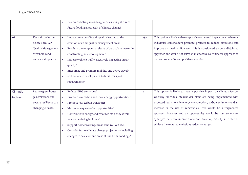|          |                           |           | risk exacerbating areas designated as being at risk of   |        |                                                                           |
|----------|---------------------------|-----------|----------------------------------------------------------|--------|---------------------------------------------------------------------------|
|          |                           |           | future flooding as a result of climate change?           |        |                                                                           |
|          |                           |           |                                                          |        |                                                                           |
| Air      | Keep air pollution        |           | Impact on or be affect air quality leading to the        | $+$ /0 | This option is likely to have a positive or neutral impact on air whereby |
|          | below Local Air           |           | creation of an air quality management area?              |        | individual stakeholders promote projects to reduce emissions and          |
|          | <b>Quality Management</b> | $\bullet$ | Result in the temporary release of particulate matter in |        | improve air quality. However, this is considered to be a disjointed       |
|          | thresholds and            |           | constructing new development?                            |        | approach and would not serve as an effective co-ordinated approach to     |
|          | enhance air quality.      | $\bullet$ | Increase vehicle traffic, negatively impacting on air    |        | deliver co-benefits and positive synergies.                               |
|          |                           |           | quality?                                                 |        |                                                                           |
|          |                           |           | Encourage and promote mobility and active travel?        |        |                                                                           |
|          |                           |           | seek to locate development to limit transport            |        |                                                                           |
|          |                           |           | requirements?                                            |        |                                                                           |
|          |                           |           |                                                          |        |                                                                           |
| Climatic | Reduce greenhouse         | $\bullet$ | Reduce GHG emissions?                                    | $+$    | This option is likely to have a positive impact on climatic factors       |
| factors  | gas emissions and         | $\bullet$ | Promote low carbon and local energy opportunities?       |        | whereby individual stakeholder plans are being implemented with           |
|          | ensure resilience to a    | $\bullet$ | Promote low carbon transport?                            |        | expected reductions in energy consumption, carbon emissions and an        |
|          | changing climate.         |           | Maximise sequestration opportunities?                    |        | increase in the use of renewables. This would be a fragmented             |
|          |                           |           | Contribute to energy and resource efficiency within      |        | approach however and an opportunity would be lost to ensure               |
|          |                           |           | new and existing buildings?                              |        | synergies between interventions and scale up activity in order to         |
|          |                           |           | Support home working, broadband roll-out etc.?           |        | achieve the required emissions reduction target.                          |
|          |                           |           | Consider future climate change projections (including    |        |                                                                           |
|          |                           |           | changes to sea level and areas at risk from flooding)?   |        |                                                                           |
|          |                           |           |                                                          |        |                                                                           |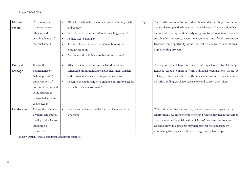| plans to have a positive impact on material assets. There is a significant |
|----------------------------------------------------------------------------|
| amount of existing work already on going to address issues such as         |
| sustainable transport, waste management and flood prevention.              |
| However, an opportunity would be lost to ensure collaboration in           |
|                                                                            |
|                                                                            |
|                                                                            |
| This option would have both a neutral impact on cultural heritage.         |
| Reduced carbon emissions from individual organisations would be            |
| unlikely to have an effect on the conservation and enhancement of          |
| historic buildings, archaeological sites and conservation sites.           |
|                                                                            |
|                                                                            |
|                                                                            |
|                                                                            |
| This option may have a positive, neutral or negative impact on the         |
| environment. Ad-hoc renewable energy projects may negatively affect        |
| the character and special quality of Angus' protected landscapes           |
| whereas individual projects may help protect the landscape by              |
|                                                                            |
|                                                                            |

Table 7. Option Two: Do Minimum assessment of affects.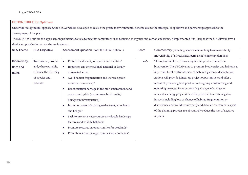## OPTION THREE: Do Optimum

Under the 'do optimum' approach, the SECAP will be developed to realise the greatest environmental benefits due to the strategic, cooperative and partnership approach to the development of the plan.

The SECAP will outline the approach Angus intends to take to meet its commitments on reducing energy use and carbon emissions. If implemented it is likely that the SECAP will have a significant positive impact on the environment.

| <b>SEA Theme</b> | <b>SEA Objective</b>  | Assessment Question (does the SECAP option)                   | Score  | Commentary (including short/medium/long term reversibility/          |
|------------------|-----------------------|---------------------------------------------------------------|--------|----------------------------------------------------------------------|
|                  |                       |                                                               |        | irreversibility of affects, risks, permanent/temporary duration)     |
| Biodiversity,    | To conserve, protect  | Protect the diversity of species and habitats?<br>$\bullet$   | $++/-$ | This option is likely to have a significant positive impact on       |
| flora and        | and, where possible,  | Impact on any international, national or locally<br>$\bullet$ |        | biodiversity. The SECAP aims to promote biodiversity and habitats as |
| fauna            | enhance the diversity | designated sites?                                             |        | important local contributors to climate mitigation and adaptation.   |
|                  | of species and        | Avoid habitat fragmentation and increase green<br>$\bullet$   |        | Actions will provide joined- up project opportunities and offer a    |
|                  | habitats.             | network connectivity?                                         |        | means of promoting best practice in designing, constructing and      |
|                  |                       | Benefit natural heritage in the built environment and         |        | operating projects. Some actions (e.g. change in land use or         |
|                  |                       | open countryside (e.g. improve biodiversity/                  |        | renewable energy projects) have the potential to create negative     |
|                  |                       | blue/green infrastructure)?                                   |        | impacts including loss or change of habitat, fragmentation or        |
|                  |                       | Impact on areas of existing native trees, woodlands           |        | disturbance and would require early and detailed assessment as part  |
|                  |                       | and hedges?                                                   |        | of the planning process to substantially reduce the risk of negative |
|                  |                       | Seek to promote watercourses as valuable landscape            |        | impacts.                                                             |
|                  |                       | features and wildlife habitats?                               |        |                                                                      |
|                  |                       | Promote restoration opportunities for peatlands?              |        |                                                                      |
|                  |                       | Promote restoration opportunities for woodlands?<br>$\bullet$ |        |                                                                      |
|                  |                       |                                                               |        |                                                                      |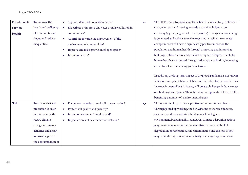| Population &  | To improve the        | Support identified population needs?<br>$\bullet$                   | $++$  | The SECAP aims to provide multiple benefits in adapting to climate       |
|---------------|-----------------------|---------------------------------------------------------------------|-------|--------------------------------------------------------------------------|
| Human         | health and wellbeing  | Exacerbate or improve air, water or noise pollution in<br>$\bullet$ |       | change impacts and moving towards a sustainable low carbon               |
| <b>Health</b> | of communities in     | communities?                                                        |       | economy (e.g. helping to tackle fuel poverty). Changes in how energy     |
|               | Angus and reduce      | Contribute towards the improvement of the<br>$\bullet$              |       | is generated and actions to make Angus more resilient to climate         |
|               | inequalities.         | environment of communities?                                         |       | change impacts will have a significantly positive impact on the          |
|               |                       | Improve and make provision of open space?<br>$\bullet$              |       | population and human health through protecting and improving             |
|               |                       | Impact on waste?<br>$\bullet$                                       |       | buildings, infrastructure and services. Long-term improvements to        |
|               |                       |                                                                     |       | human health are expected through reducing air pollution, increasing     |
|               |                       |                                                                     |       | active travel and enhancing green networks.                              |
|               |                       |                                                                     |       |                                                                          |
|               |                       |                                                                     |       | In addition, the long-term impact of the global pandemic is not known.   |
|               |                       |                                                                     |       | Many of our spaces have not been utilised due to the restrictions.       |
|               |                       |                                                                     |       | Increase in mental health issues, will create challenges in how we use   |
|               |                       |                                                                     |       | our buildings and spaces. There has also been periods of lesser traffic, |
|               |                       |                                                                     |       | benefiting a number of environmental areas.                              |
| Soil          | To ensure that soil   | Encourage the reduction of soil contamination?<br>$\bullet$         | $+/-$ | This option is likely to have a positive impact on soil and land.        |
|               | protection is taken   | Protect soil quality and quantity?<br>$\bullet$                     |       | Through joined up working, the SECAP aims to increase impetus,           |
|               | into account with     | Impact on vacant and derelict land?<br>$\bullet$                    |       | awareness and see more stakeholders reaching higher                      |
|               | regard climate        | Impact an area of peat or carbon rich soil?<br>$\bullet$            |       | environmental/sustainability standards. Climate adaptation actions       |
|               | change and energy     |                                                                     |       | may create temporary or permanent disturbance to soils. Soil             |
|               | activities and as far |                                                                     |       | degradation or restoration, soil contamination and the loss of soil      |
|               | as possible prevent   |                                                                     |       | may occur during development activity or changed approaches to           |
|               | the contamination of  |                                                                     |       |                                                                          |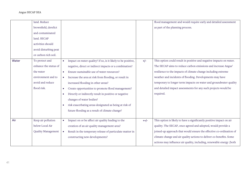land. Reduce brownfield, derelict and contaminated land. SECAP activities should avoid disturbing peat or carbon rich soil. flood management and would require early and detailed assessment as part of the planning process. Water To protect and enhance the status of the water environment and to avoid and reduce flood risk. • Impact on water quality? If so, is it likely to be positive, negative, direct or indirect impacts or a combination? • Ensure sustainable use of water resources? • Increase the area at risk from flooding, or result in increased flooding in other areas? • Create opportunities to promote flood management? • Directly or indirectly result in positive or negative changes of water bodies? • risk exacerbating areas designated as being at risk of future flooding as a result of climate change? +/- This option could result in positive and negative impacts on water. The SECAP aims to reduce carbon emissions and increase Angus' resilience to the impacts of climate change including extreme weather and incidents of flooding. Developments may have temporary to longer term impacts on water and groundwater quality and detailed impact assessments for any such projects would be required. Air Keep air pollution below Local Air Quality Management • Impact on or be affect air quality leading to the creation of an air quality management area? • Result in the temporary release of particulate matter in ++/- This option is likely to have a significantly positive impact on air quality. The SECAP, once agreed and adopted, would provide a joined-up approach that would ensure the effective co-ordination of

> climate change and air quality actions to deliver co-benefits. Some actions may influence air quality, including, renewable energy (both

constructing new developments?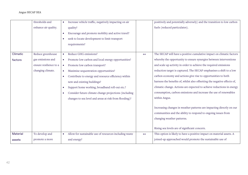|                 | thresholds and         | Increase vehicle traffic, negatively impacting on air<br>$\bullet$  |      | positively and potentially adversely) and the transition to low carbon   |
|-----------------|------------------------|---------------------------------------------------------------------|------|--------------------------------------------------------------------------|
|                 | enhance air quality.   | quality?                                                            |      | fuels (reduced particulates).                                            |
|                 |                        | Encourage and promote mobility and active travel?<br>$\bullet$      |      |                                                                          |
|                 |                        | seek to locate development to limit transport                       |      |                                                                          |
|                 |                        | requirements?                                                       |      |                                                                          |
|                 |                        |                                                                     |      |                                                                          |
| Climatic        | Reduce greenhouse      | Reduce GHG emissions?<br>$\bullet$                                  | $++$ | The SECAP will have a positive cumulative impact on climatic factors     |
| factors         | gas emissions and      | Promote low carbon and local energy opportunities?<br>$\bullet$     |      | whereby the opportunity to ensure synergies between interventions        |
|                 | ensure resilience to a | Promote low carbon transport?<br>$\bullet$                          |      | and scale up activity in order to achieve the required emissions         |
|                 | changing climate.      | Maximise sequestration opportunities?<br>$\bullet$                  |      | reduction target is captured. The SECAP emphasises a shift to a low      |
|                 |                        | Contribute to energy and resource efficiency within<br>$\bullet$    |      | carbon economy and actions give rise to opportunities to both            |
|                 |                        | new and existing buildings?                                         |      | harness the benefits of, whilst also offsetting the negative effects of, |
|                 |                        | Support home working, broadband roll-out etc.?                      |      | climatic change. Actions are expected to achieve reductions in energy    |
|                 |                        | Consider future climate change projections (including<br>$\bullet$  |      | consumption, carbon emissions and increase the use of renewables         |
|                 |                        | changes to sea level and areas at risk from flooding)?              |      | within Angus.                                                            |
|                 |                        |                                                                     |      |                                                                          |
|                 |                        |                                                                     |      | Increasing changes in weather patterns are impacting directly on our     |
|                 |                        |                                                                     |      | communities and the ability to respond to ongoing issues from            |
|                 |                        |                                                                     |      | changing weather patterns.                                               |
|                 |                        |                                                                     |      |                                                                          |
|                 |                        |                                                                     |      | Rising sea levels are of significant concern.                            |
| <b>Material</b> | To develop and         | Allow for sustainable use of resources including waste<br>$\bullet$ | $++$ | This option is likely to have a positive impact on material assets. A    |
| assets          | promote a more         | and energy?                                                         |      | joined-up approached would promote the sustainable use of                |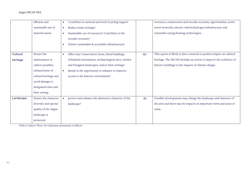|           | efficient and         | Contribute to national and local recycling targets?<br>$\bullet$ |        | resources, construction and circular economy opportunities, active     |
|-----------|-----------------------|------------------------------------------------------------------|--------|------------------------------------------------------------------------|
|           | sustainable use of    | Reduce waste arisings?<br>$\bullet$                              |        | travel networks, electric vehicle/hydrogen infrastructure and          |
|           | material assets       | Sustainable use of resources? Contribute to the<br>$\bullet$     |        | renewable energy/heating technologies.                                 |
|           |                       | circular economy?                                                |        |                                                                        |
|           |                       | Deliver sustainable & accessible infrastructure?                 |        |                                                                        |
|           |                       |                                                                  |        |                                                                        |
| Cultural  | Ensure the            | Affect any Conservation Areas, listed buildings,<br>$\bullet$    | $O/$ + | This option is likely to have a neutral or positive impact on cultural |
| heritage  | maintenance or        | Scheduled monuments, Archaeological sites, Garden                |        | heritage. The SECAP includes an action to improve the resilience of    |
|           | (where possible)      | and Designed landscapes, and/or their settings?                  |        | historic buildings to the impacts of climate change.                   |
|           | enhancement of        | Result in the opportunity to enhance or improve<br>$\bullet$     |        |                                                                        |
|           | cultural heritage and | access to the historic environment?                              |        |                                                                        |
|           | avoid damage to       |                                                                  |        |                                                                        |
|           | designated sites and  |                                                                  |        |                                                                        |
|           | their setting.        |                                                                  |        |                                                                        |
| Landscape | Ensure the character, | protect and enhance the distinctive character of the             | $-/-$  | Possible developments may change the landscape and character of        |
|           | diversity and special | landscape?                                                       |        | the area and there may be impacts on important views and areas of      |
|           | quality of the Angus  |                                                                  |        | value.                                                                 |
|           | landscape is          |                                                                  |        |                                                                        |
|           | protected.            |                                                                  |        |                                                                        |

Table 8. Option Three: Do Optimum assessment of affects.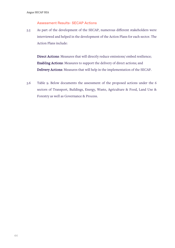### Assessment Results- SECAP Actions

5.5 As part of the development of the SECAP, numerous different stakeholders were interviewed and helped in the development of the Action Plans for each sector. The Action Plans include:

Direct Actions: Measures that will directly reduce emissions/ embed resilience; Enabling Actions: Measures to support the delivery of direct actions; and Delivery Actions: Measures that will help in the implementation of the SECAP.

5.6 Table 9. Below documents the assessment of the proposed actions under the 6 sectors of Transport, Buildings, Energy, Waste, Agriculture & Food, Land Use & Forestry as well as Governance & Process.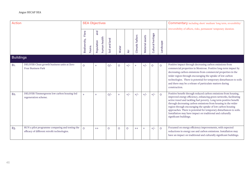| <b>Action</b>    |                                                                                                 |         | <b>SEA Objectives</b>             |                  |         |                       |                  |                 |                   |           | Commentary including short/medium/long term, reversibility/                                                                                                                                                                                                                                                                                                                                                                                                                                                 |
|------------------|-------------------------------------------------------------------------------------------------|---------|-----------------------------------|------------------|---------|-----------------------|------------------|-----------------|-------------------|-----------|-------------------------------------------------------------------------------------------------------------------------------------------------------------------------------------------------------------------------------------------------------------------------------------------------------------------------------------------------------------------------------------------------------------------------------------------------------------------------------------------------------------|
|                  |                                                                                                 |         | and<br>human health<br>Population | and land<br>Soil | Water   | $\bar{\mathsf{A}}$ ir | Climatic factors | Material assets | Cultural heritage | Landscape | irreversibility of affects, risks, permanent/temporary duration.                                                                                                                                                                                                                                                                                                                                                                                                                                            |
| <b>Buildings</b> |                                                                                                 |         |                                   |                  |         |                       |                  |                 |                   |           |                                                                                                                                                                                                                                                                                                                                                                                                                                                                                                             |
| <b>B1.</b>       | DELIVER Clean growth business units at Zero<br>Four Business Park                               | $\circ$ | $+$                               | $O/-$            | $\circ$ | $+/-$                 | $^{+}$           | $+/-$           | $\circ$           | $\circ$   | Positive impact through decreasing carbon emissions from<br>commercial properties in Montrose. Positive long-term impact by<br>decreasing carbon emissions from commercial properties in the<br>wider region through encouraging the uptake of low carbon<br>technologies. There is potential for temporary disturbances to soils<br>and there may be a release of particulate matters during<br>construction.                                                                                              |
| <b>B2.</b>       | DELIVER Timmergreens low carbon housing-led<br>regeneration scheme.                             | $+$     |                                   | $O/-$            | $^{+}$  | $+/-$                 | $+/-$            | $+/-$           | $+/-$             | $\circ$   | Positive benefit through reduced carbon emissions from housing,<br>improved energy efficiency, enhancing green networks, facilitating<br>active travel and tackling fuel poverty. Long term positive benefit<br>through decreasing carbon emissions from housing in the wider<br>region through encouraging the uptake of low carbon housing<br>approaches. There is potential for temporary disturbances to soils.<br>Installation may have impact on traditional and culturally<br>significant buildings. |
| <b>B</b> 3.      | RUN a pilot programme comparing and testing the<br>efficacy of different retrofit technologies. | $\circ$ | $++$                              | $\circ$          | $\circ$ | $\circ$               | $++$             | $+$             | $+/-$             | $\circ$   | Focussed on energy efficiency improvements, with expected<br>reductions in energy use and carbon emissions. Installation may<br>have an impact on traditional and culturally significant buildings.                                                                                                                                                                                                                                                                                                         |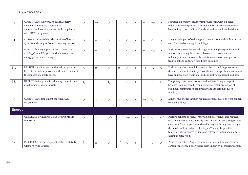| <b>B</b> <sub>4</sub> . | CONTINUE to deliver high quality, energy<br>efficient homes using a 'fabric first'<br>approach and working towards full compliance<br>with EESSH 2 by 2032. | $\circ$      | $^{++}$ | O       | $\circ$ | O       | $^{+}$ | $^{+}$ | $+/-$   | $\circ$ | Focussed on energy efficiency improvements, with expected<br>reductions in energy use and carbon emissions. Installation may<br>have an impact on traditional and culturally significant buildings.                                                                                                                                                                  |
|-------------------------|-------------------------------------------------------------------------------------------------------------------------------------------------------------|--------------|---------|---------|---------|---------|--------|--------|---------|---------|----------------------------------------------------------------------------------------------------------------------------------------------------------------------------------------------------------------------------------------------------------------------------------------------------------------------------------------------------------------------|
| <b>B5.</b>              | ENSURE continued decarbonisation of heating<br>systems in the Angus Council property portfolio.                                                             | $\circ$      | $^{+}$  | $\circ$ | $\circ$ | O       | $^{+}$ | $+$    | $\circ$ | $\circ$ | Long term impact of reducing carbon emissions and facilitating the<br>use of renewable energy in buildings.                                                                                                                                                                                                                                                          |
| B6.                     | PURSUE funding opportunities to 'Enerphit'<br>existing Council Properties which have a low<br>energy performance rating.                                    | $\circ$      | $^{+}$  | $\circ$ | $\circ$ | $\circ$ | $^{+}$ | $+$    | $O/-$   | $\circ$ | Positive long-term benefits through improving energy efficiency in<br>schools, improving the school/classroom environment and<br>reducing carbon emissions. Installation may have an impact on<br>traditional and culturally significant buildings.                                                                                                                  |
| B7.                     | DELIVER a maintenance and repair programme<br>for historic buildings to ensure they are resilient to<br>the impacts of climate change.                      | $\circ$      | $\circ$ | $\circ$ | $\circ$ | O       | $++$   | $++$   | $+/-$   | $\circ$ | Positive benefits through improving historic buildings to ensure<br>they are resilient to the impacts of climate change. Installation may<br>have an impact on traditional and culturally significant buildings.                                                                                                                                                     |
| <b>B8.</b>              | DEPLOY drainage and flood management in new<br>developments, as appropriate                                                                                 | $+/-$        | $^{+}$  | $+/-$   | $+$     | O       | $+$    | $+$    | $+$     | $+$     | Temporary disturbance to soils and habitats. Long term positive<br>benefits from increased green networks, greater protection of<br>buildings, communities, biodiversity and land from reduced<br>flooding.                                                                                                                                                          |
| <b>B9.</b>              | CONTINUE to implement the Angus Agile<br>Programme.                                                                                                         | $\circ$      | $\circ$ | $\circ$ | $\circ$ | $\circ$ | $+$    | $++$   | $\circ$ | $\circ$ | Long term benefits through reduced carbon emissions from council<br>owned buildings.                                                                                                                                                                                                                                                                                 |
| Energy                  |                                                                                                                                                             |              |         |         |         |         |        |        |         |         |                                                                                                                                                                                                                                                                                                                                                                      |
| E <sub>1</sub> .        | CREATE a North Angus Clean Growth Area in<br>Montrose.                                                                                                      | $\circ$      | $\circ$ | $O/-$   | $\circ$ | $+/-$   | $++$   | $+$    | $\circ$ | $+$ /?  | Positive benefits to Angus' renewable infrastructure and reduced<br>carbon emissions. Positive long-term impact by decreasing carbon<br>emissions from properties in the wider region through encouraging<br>the uptake of low carbon technologies The may be possible<br>temporary disturbances to soils and release of particulate matters<br>during construction. |
| E <sub>2</sub> .        | PRIORITISE the development of the Forth & Tay<br>Offshore Wind Cluster.                                                                                     | $\mathbf{5}$ | $\circ$ | $\circ$ | $+/-$   | O       | $++$   | $^{+}$ | $\circ$ | $\circ$ | Positive benefits to Angus' renewable infrastructure and reduced<br>carbon emissions. Positive long-term impact by decreasing carbon                                                                                                                                                                                                                                 |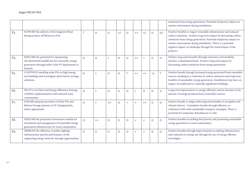|                  |                                                                                                                                                            |              |           |         |         |         |         |         |         |         | emissions from energy generation. Potential temporary impact on<br>marine environment during installation.                                                                                                                                                                                                                                            |
|------------------|------------------------------------------------------------------------------------------------------------------------------------------------------------|--------------|-----------|---------|---------|---------|---------|---------|---------|---------|-------------------------------------------------------------------------------------------------------------------------------------------------------------------------------------------------------------------------------------------------------------------------------------------------------------------------------------------------------|
| E3.              | SUPPORT the delivery of the Seagreen Wind<br>Energy project off Montrose Port.                                                                             | $\mathbf{z}$ | $\circ$   | $\circ$ | $+/-$   | $\circ$ | $++$    | $+/-$   | $\circ$ | $O/-$   | Positive benefits to Angus' renewable infrastructure and reduced<br>carbon emissions. Positive long-term impact by decreasing carbon<br>emissions from energy generation. Potential temporary impact on<br>marine environment during installation. There is a potential<br>negative impact on landscape through the visual impact of the<br>projects. |
| E4.              | EXPLORE the potential for repurposing<br>the Restenneth landfill site for renewable energy<br>generation through either Solar PV deployment or<br>biofuels | $\circ$      | $\circ$   | $+$     | $\circ$ | $\circ$ | $++$    | $+$     | $\circ$ | $\circ$ | Positive long-term benefits through reduction in brownfield/<br>derelict/contaminated land. Positive long-term impact by<br>decreasing carbon emissions from energy generation.                                                                                                                                                                       |
| E <sub>5</sub> . | CONTINUE installing solar PVs on high energy<br>use buildings and investigate/ pilot battery storage<br>solutions.                                         | $\Omega$     | $^{+}$    | $\circ$ | $\circ$ | Ş       | $^{++}$ | $++$    | $+/-$   | 3       | Positive benefit through increased energy generated from renewable<br>sources resulting in a reduction in carbon emissions and long-term<br>benefits of sustainable energy generation. Installations may have an<br>impact on traditional or culturally significant buildings.                                                                        |
| E6.              | PILOT Local Heat and Energy Efficiency Strategy<br>(LHEES) implementation with selected rural<br>communities                                               | $\circ$      | $+$       | $\circ$ | $\circ$ | $\circ$ | $+$     | $\circ$ | $\circ$ | $\circ$ | Long term improvement to energy efficiency and an increase in the<br>amount of energy produced from renewable sources.                                                                                                                                                                                                                                |
| E7.              | ENSURE adequate provision of Solar PVs and<br>Battery Storage systems at EV charging hubs,<br>where appropriate.                                           | $\circ$      | $\ddot{}$ | $+/-$   | $\circ$ | $+$     | $+$     | $++$    | $\circ$ | $\circ$ | Positive benefit to Angus with long term benefits to air quality and<br>climatic factors. Cumulative benefit through effective co-<br>ordination with other sustainable transport strategies. There is<br>potential for temporary disturbances to soils.                                                                                              |
| E8.              | EXPLORE the potential of innovative models for<br>investment and management of renewable energy<br>generation infrastructure for rural communities         | $\circ$      | $++$      | $\circ$ | $\circ$ | $\circ$ |         | $+$     | O       | $\circ$ | Positive benefits in tackling fuel poverty and promoting sustainable<br>energy generation in rural communities.                                                                                                                                                                                                                                       |
| E9.              | IMPROVE the efficiency of public lighting<br>infrastructure and the performance of the<br>supporting energy network, through opportunities                 | $\circ$      | $\circ$   | $\circ$ | $\circ$ | $\circ$ |         | $+$     | $\circ$ | $\circ$ | Positive benefits through improvements to existing infrastructure<br>and reduction in energy use through the use of energy efficient<br>streetlights.                                                                                                                                                                                                 |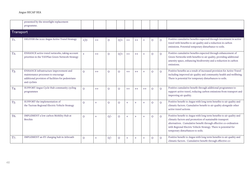|                  | presented by the streetlight replacement<br>programme.                                                                                             |                |      |         |         |      |        |        |         |         |                                                                                                                                                                                                                                                                                                            |
|------------------|----------------------------------------------------------------------------------------------------------------------------------------------------|----------------|------|---------|---------|------|--------|--------|---------|---------|------------------------------------------------------------------------------------------------------------------------------------------------------------------------------------------------------------------------------------------------------------------------------------------------------------|
| Transport        |                                                                                                                                                    |                |      |         |         |      |        |        |         |         |                                                                                                                                                                                                                                                                                                            |
| T1.              | DELIVER the 2020 Angus Active Travel Strategy                                                                                                      | $+$ /0         | $++$ | O       | $O/$ +  | $++$ | $++$   | $+$    | O       | $\circ$ | Positive cumulative benefits expected through investment in active<br>travel with benefits to air quality and a reduction in carbon<br>emissions. Potential temporary disturbance to soils.                                                                                                                |
| T <sub>2</sub> . | ENHANCE active travel networks, taking account<br>priorities in the TAYPlan Green Network Strategy                                                 | $\overline{+}$ | $++$ | $\circ$ | $O/+$   | $++$ | $++$   | $^{+}$ | $\circ$ | $\circ$ | Positive cumulative benefits expected through enhancement of<br>Green Networks with benefits to air quality, providing additional<br>amenity space, enhancing biodiversity and a reduction in carbon<br>emissions.                                                                                         |
| T <sub>3</sub> . | ENHANCE infrastructure improvement and<br>maintenance processes to encourage<br>additional provision of facilities for pedestrians<br>and cyclists | $\circ$        | $++$ | $\circ$ | O       | $++$ | $++$   | $^{+}$ | $\circ$ | $\circ$ | Positive benefits as a result of increased provision for Active Travel<br>including improved air quality and community health and wellbeing.<br>There is potential for temporary disturbances to soils.                                                                                                    |
| T <sub>4</sub> . | SUPPORT Angus Cycle Hub community cycling<br>programmes                                                                                            | $\circ$        | $++$ | $\circ$ | $\circ$ | $++$ | $++$   | $++$   | $\circ$ | $\circ$ | Positive cumulative benefit through additional programmes to<br>support active travel, reducing carbon emissions from transport and<br>improving air quality.                                                                                                                                              |
| T <sub>5</sub> . | SUPPORT the implementation of<br>the Tactran Regional Electric Vehicle Strategy                                                                    | $\circ$        |      | $\circ$ | O       | $+$  | $+$    | $+$    | $\circ$ | $\circ$ | Positive benefit to Angus with long term benefits to air quality and<br>climatic factors. Cumulative benefit to air quality alongside other<br>active travel actions.                                                                                                                                      |
| T6.              | IMPLEMENT a low carbon Mobility Hub at<br><b>Brechin</b>                                                                                           | $\circ$        |      | $O/-$   | $\circ$ | $+$  | $+$    | $+$    | $\circ$ | $\circ$ | Positive benefit to Angus with long term benefits to air quality and<br>climatic factors and promotion of sustainable transport<br>alternatives. Cumulative benefit through effective co-ordination<br>with Regional Electric Vehicle Strategy. There is potential for<br>temporary disturbances to soils. |
| T7.              | IMPLEMENT an EV charging hub in Arbroath                                                                                                           | $\circ$        |      | $O/-$   | O       | $+$  | $^{+}$ | $^{+}$ | O       | $\circ$ | Positive benefit to Angus with long term benefits to air quality and<br>climatic factors. Cumulative benefit through effective co-                                                                                                                                                                         |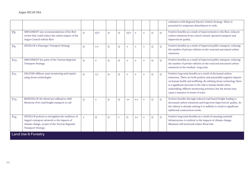|                   |                                                                                                                                                                           |         |         |         |         |         |      |     |         |         | ordination with Regional Electric Vehicle Strategy. There is<br>potential for temporary disturbances to soils.                                                                                                                                                                                                                                                                  |
|-------------------|---------------------------------------------------------------------------------------------------------------------------------------------------------------------------|---------|---------|---------|---------|---------|------|-----|---------|---------|---------------------------------------------------------------------------------------------------------------------------------------------------------------------------------------------------------------------------------------------------------------------------------------------------------------------------------------------------------------------------------|
| T8.               | IMPLEMENT any recommendations of the fleet<br>review that could reduce the carbon impact of the<br>Angus Council vehicle fleet                                            | $\circ$ | $O/+$   | $\circ$ | $\circ$ | $O/+$   | $+$  | $+$ | $\circ$ | $\circ$ | Positive benefits as a result of improvements to the fleet, reduced<br>carbon emissions from council owned/ operated transport and<br>improved air quality.                                                                                                                                                                                                                     |
| T9.               | DEVELOP a Passenger Transport Strategy                                                                                                                                    | $\circ$ | $++$    | $\circ$ | $\circ$ | $+$     | $+$  | $+$ | $\circ$ | $\circ$ | Positive benefits as a result of improved public transport, reducing<br>the number of private vehicles on the road and associated carbon<br>emissions.                                                                                                                                                                                                                          |
| T <sub>10</sub> . | IMPLEMENT key parts of the Tactran Regional<br>Transport Strategy.                                                                                                        | $\circ$ | $+$     | $\circ$ | $\circ$ | $^{+}$  | $+$  | $+$ | $\circ$ | $\circ$ | Positive benefits as a result of improved public transport, reducing<br>the number of private vehicles on the road and associated carbon<br>emissions in the medium-long term.                                                                                                                                                                                                  |
| T <sub>11</sub> . | DELIVER offshore asset monitoring and repairs<br>using drone technologies                                                                                                 | $\circ$ | $+/-$   | $\circ$ | $\circ$ | $+$     |      | $+$ | $\circ$ | $\circ$ | Positive long-term benefits as a result of decreased carbon<br>emissions. There are both positive and potentially negative impacts<br>on human health and wellbeing. By utilising drone technology there<br>is a significant decrease in the risk to human health when<br>undertaking offshore monitoring activities, but the drones may<br>cause a nuisance in terms of noise. |
| T <sub>12</sub> . | REDEVELOP the Montrose railhead to shift<br>Montrose Port road freight transport to rail                                                                                  | $\circ$ | $+$     | $\circ$ | $\circ$ | $++$    | $++$ | $+$ | $\circ$ | $\circ$ | Positive benefits through reduced road-based freight leading to<br>decreased carbon emissions and long-term improved air quality. As<br>the railway is already existing it is unlikely to result in significant<br>additional construction works.                                                                                                                               |
| T <sub>13</sub> . | DEVELOP policies to strengthen the resilience of<br>Angus's transport network to the impacts of<br>climate change, as part of the Tactran Regional<br>Transport Strategy. | $+$     | $\circ$ | O       | $+$     | $\circ$ | $++$ | $+$ | $\circ$ | $\circ$ | Positive long-term benefits as a result of ensuring essential<br>infrastructure is resilient to the impacts of climate change.<br>Measures will avoid and reduce flood risk.                                                                                                                                                                                                    |
|                   | Land Use & Forestry                                                                                                                                                       |         |         |         |         |         |      |     |         |         |                                                                                                                                                                                                                                                                                                                                                                                 |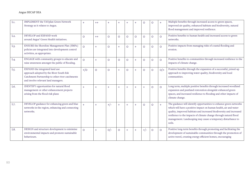| L1.              | <b>IMPLEMENT</b> the TAYplan Green Network<br>Strategy as it relates to Angus.                                                                                      | $+$     | $++$    | $^{+}$  | $^{+}$  |           | $+$     | O       | O       | $+$     | Multiple benefits through increased access to green spaces,<br>improved air quality, enhanced habitats and biodiversity, natural<br>flood management and improved resilience.                                                                                                                                                                                |
|------------------|---------------------------------------------------------------------------------------------------------------------------------------------------------------------|---------|---------|---------|---------|-----------|---------|---------|---------|---------|--------------------------------------------------------------------------------------------------------------------------------------------------------------------------------------------------------------------------------------------------------------------------------------------------------------------------------------------------------------|
| $L2$ .           | DEVELOP and EXPAND work<br>around Angus' Green Health initiatives.                                                                                                  | $\circ$ | $++$    | $\circ$ | $\circ$ | $\circ$   | $\circ$ | $\circ$ | $\circ$ | $\circ$ | Positive benefits to human health and increased access to green<br>networks.                                                                                                                                                                                                                                                                                 |
| L <sub>3</sub> . | ENSURE the Shoreline Management Plan (SMP2)<br>policies are integrated into development control<br>activities, as appropriate.                                      | $\circ$ | $+$     | O       | $+$     | $\circ$   | $+$     | $\circ$ | O       | $\circ$ | Positive impacts from managing risks of coastal flooding and<br>erosion.                                                                                                                                                                                                                                                                                     |
| L4.              | ENGAGE with community groups to educate and<br>raise awareness amongst the public of flooding.                                                                      | $\circ$ | $+$     | O       | $\circ$ | $\circ$   | $+$     | $\circ$ | O       | $\circ$ | Positive benefits to communities through increased resilience to the<br>impacts of climate change.                                                                                                                                                                                                                                                           |
| L <sub>5</sub> . | EXPAND the integrated land use<br>approach adopted by the River South Esk<br>Catchment Partnership to other river catchments<br>and involve relevant land managers. | $+$ /0  | $\circ$ | O       | $+$     | $\circ$   | $+$     | $\circ$ | $\circ$ | $O/+$   | Positive benefits through the expansion of a successful, joined-up<br>approach to improving water quality, biodiversity and local<br>communities.                                                                                                                                                                                                            |
| L6.              | IDENTIFY opportunities for natural flood<br>management or other enhancement projects<br>arising from the flood risk plans                                           | $+$     | $+$     | $+$     | $+$     | $\ddot{}$ | $+$     | $+$     | O       | $\circ$ | Long term, multiple positive benefits through increased woodland<br>expansion and peatland restoration alongside enhanced green<br>spaces, and increased resilience to flooding and other impacts of<br>climate change.                                                                                                                                      |
| L7.              | DEVELOP guidance for enhancing green and blue<br>networks in the region, enhancing and connecting<br>networks.                                                      | $+$     | $+$     | $+/-$   | $+$     | $+$       | $+$     | $\circ$ | O       | $+$     | The guidance will identify opportunities to enhance green networks<br>which will have a positive impact on human health, air and water<br>quality, improved habitats and increased biodiversity and increased<br>resilience to the impacts of climate change through natural flood<br>management. Landscaping may cause a temporary disturbance to<br>soils. |
| L8.              | DESIGN and structure development to minimise<br>environmental impacts and promote sustainable<br>behaviours.                                                        | $\circ$ | $+$     | $O/-$   | $\circ$ | $+$       | $+$     | $+/-$   | $\circ$ | $\circ$ | Positive long-term benefits through promoting and facilitating the<br>development of sustainable communities through the promotion of<br>active travel, creating energy efficient homes, encouraging                                                                                                                                                         |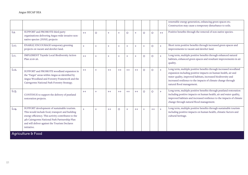|                   |                                                                                                                                                                                                                                                                        |      |         |      |           |         |           |         |         |      | renewable energy generation, enhancing green spaces etc.<br>Construction may cause a temporary disturbance to soils.                                                                                                                                                                            |
|-------------------|------------------------------------------------------------------------------------------------------------------------------------------------------------------------------------------------------------------------------------------------------------------------|------|---------|------|-----------|---------|-----------|---------|---------|------|-------------------------------------------------------------------------------------------------------------------------------------------------------------------------------------------------------------------------------------------------------------------------------------------------|
| L9.               | SUPPORT and PROMOTE third party<br>organisations delivering Angus wide invasive non-<br>native species (INNS) projects                                                                                                                                                 | $++$ | $\circ$ | $+$  | $+$       | $\circ$ | $+$       | $\circ$ | $\circ$ | $++$ | Positive benefits through the removal of non-native species.                                                                                                                                                                                                                                    |
| L10.              | ENABLE/ENCOURAGE temporary greening<br>projects on vacant and derelict land.                                                                                                                                                                                           | $+$  | $+$     | $+$  | $\ddot{}$ | $+$     | $\ddot{}$ | $+$     | $\circ$ | $+$  | Short term positive benefits through increased green spaces and<br>improvements to vacant and derelict land.                                                                                                                                                                                    |
| L <sub>11</sub> . | IMPLEMENT Tayside Local Biodiversity Action<br>Plan 2016-26.                                                                                                                                                                                                           | $++$ | $+$     | $+$  | $+$       | $+$     | $+$       | $\circ$ | $\circ$ | $+$  | Long term, multiple positive benefits through enhanced natural<br>habitats, enhanced green spaces and resultant improvements in air<br>quality.                                                                                                                                                 |
| L <sub>12</sub> . | SUPPORT and PROMOTE woodland expansion in<br>the 'Target' areas within Angus as identified by<br>Angus Woodland and Forestry Framework and the<br>Cairngorms National Park Forestry Strategy.                                                                          | $++$ | $+$     | $++$ | $++$      | $++$    | $++$      | $\circ$ | $\circ$ | $+$  | Long term, multiple positive benefits through increased woodland<br>expansion including positive impacts on human health, air and<br>water quality, improved habitats, increased biodiversity and<br>increased resilience to the impacts of climate change through<br>natural flood management. |
| L <sub>1</sub> 3. | CONTINUE to support the delivery of peatland<br>restoration projects.                                                                                                                                                                                                  | $++$ | $+$     | $++$ | $++$      | $++$    | $++$      | $\circ$ | $\circ$ | $+$  | Long term, multiple positive benefits through peatland restoration<br>including positive impacts on human health, air and water quality,<br>improved habitats and increased resilience to the impacts of climate<br>change through natural flood management.                                    |
| L14.              | SUPPORT development of sustainable tourism.<br>This would include food, transport and building<br>energy efficiency. This activity contributes to the<br>4th Cairngorms National Park Partnership Plan<br>and will deliver against the Tourism Declares<br>initiative. | $+$  | $+$     | $++$ | $\circ$   | $+$     | $++$      | $+$     | $++$    | $+$  | Long term, multiple positive benefits through sustainable tourism<br>including positive impacts on human health, climatic factors and<br>cultural heritage.                                                                                                                                     |
|                   | <b>Agriculture &amp; Food</b>                                                                                                                                                                                                                                          |      |         |      |           |         |           |         |         |      |                                                                                                                                                                                                                                                                                                 |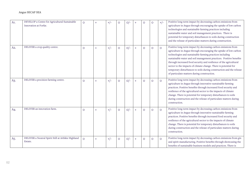| $A1$ . | DEVELOP a Centre for Agricultural Sustainable<br>Innovation at Forfar. | $\circ$ | $+$ | $+/-$ | O       | $O/-$ | $+$              | O       | $\circ$ | $+/-$   | Positive long-term impact by decreasing carbon emissions from<br>agriculture in Angus through encouraging the uptake of low carbon<br>technologies and sustainable farming practices including<br>sustainable water and soil management practices. There is<br>potential for temporary disturbances to soils during construction<br>and the release of particulate matters during construction.                                                                                                                                     |
|--------|------------------------------------------------------------------------|---------|-----|-------|---------|-------|------------------|---------|---------|---------|-------------------------------------------------------------------------------------------------------------------------------------------------------------------------------------------------------------------------------------------------------------------------------------------------------------------------------------------------------------------------------------------------------------------------------------------------------------------------------------------------------------------------------------|
| A2.    | DELIVER a crop quality centre.                                         | $\circ$ | $+$ | $+/-$ | $\circ$ | $O/-$ | $+$              | $\circ$ | $\circ$ | $\circ$ | Positive long-term impact by decreasing carbon emissions from<br>agriculture in Angus through encouraging the uptake of low carbon<br>technologies and sustainable farming practices including<br>sustainable water and soil management practices. Positive benefits<br>through increased food security and resilience of the agricultural<br>sector to the impacts of climate change. There is potential for<br>temporary disturbances to soils during construction and the release<br>of particulate matters during construction. |
| A3.    | DELIVER a precision farming centre.                                    | $\circ$ | $+$ | $+/-$ | $\circ$ | $O/-$ | $\pm$            | $\circ$ | $\circ$ | $\circ$ | Positive long-term impact by decreasing carbon emissions from<br>agriculture in Angus through innovative sustainable farming<br>practices. Positive benefits through increased food security and<br>resilience of the agricultural sector to the impacts of climate<br>change. There is potential for temporary disturbances to soils<br>during construction and the release of particulate matters during<br>construction.                                                                                                         |
| A4.    | DELIVER an innovation farm.                                            | $\circ$ | $+$ | $+/-$ | $\circ$ | $O/-$ | $\color{red}{+}$ | $\circ$ | $\circ$ | $\circ$ | Positive long-term impact by decreasing carbon emissions from<br>agriculture in Angus through innovative sustainable farming<br>practices. Positive benefits through increased food security and<br>resilience of the agricultural sector to the impacts of climate<br>change. There is potential for temporary disturbances to soils<br>during construction and the release of particulate matters during<br>construction.                                                                                                         |
| A5.    | DELIVER a Neutral Spirit Still at Arbikie Highland<br>Estate.          | $\circ$ | $+$ | $+/-$ | $\circ$ | $O/-$ | $+$              | $\circ$ | $\circ$ | $\circ$ | Positive long-term impact by decreasing carbon emissions from gin<br>and spirit manufacturing. Positive benefits through showcasing the<br>benefits of sustainable business models and practices. There is                                                                                                                                                                                                                                                                                                                          |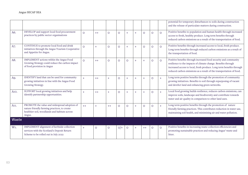|        |                                                                                                                                                         |                |         |         |         |         |        |         |         |         | potential for temporary disturbances to soils during construction<br>and the release of particulate matters during construction.                                                                                                                                                |
|--------|---------------------------------------------------------------------------------------------------------------------------------------------------------|----------------|---------|---------|---------|---------|--------|---------|---------|---------|---------------------------------------------------------------------------------------------------------------------------------------------------------------------------------------------------------------------------------------------------------------------------------|
| A6.    | DEVELOP and support local food procurement<br>practices by public sector organisations                                                                  | $\circ$        | $++$    | $\circ$ | $\circ$ | $+$     | $+$    | $\circ$ | $\circ$ | $\circ$ | Positive benefits to population and human health through increased<br>access to fresh, healthy produce. Long term benefits through<br>reduced carbon emissions as a result of the transportation of food.                                                                       |
| A7.    | CONTINUE to promote local food and drink<br>initiatives through the Angus Tourism Cooperative<br>and Appetite for Angus.                                | $\circ$        | $+$     | $\circ$ | $\circ$ | $+$     | $^{+}$ | $\circ$ | $\circ$ | $\circ$ | Positive benefits through increased access to local, fresh produce.<br>Long term benefits through reduced carbon emissions as a result of<br>the transportation of food.                                                                                                        |
| A8.    | IMPLEMENT actions within the Angus Food<br>Growing Strategy could reduce the carbon impact<br>of food provision in Angus                                | $\circ$        | $++$    | $\circ$ | $\circ$ | $\circ$ | $+$    | $+$     | $\circ$ | $\circ$ | Positive benefits through increased food security and community<br>resilience to the impacts of climate change. Benefits through<br>increased access to local, fresh produce. Long term benefits through<br>reduced carbon emissions as a result of the transportation of food. |
| A9.    | IDENTIFY land that can be used for community<br>growing initiatives in line with the Angus Food<br>Growing Strategy.                                    | $+$            | $++$    | $+$     | $\circ$ | $+$     | $^{+}$ | $^{+}$  | $\circ$ | $+$     | Long term positive benefits through the promotion of community<br>growing initiatives. Benefits to soil through repurposing of vacant<br>and derelict land and enhancing green networks.                                                                                        |
| A10.   | SUPPORT local growing initiatives and help<br>identify partnership opportunities.                                                                       | $\overline{+}$ | $++$    | $+$     | $\circ$ | $+$     | $^{+}$ | $+$     | $\circ$ | $+$     | Local food growing builds resilience, reduces carbon emissions, can<br>improve soils, landscape and biodiversity and contribute towards<br>water and air quality in comparison to other land uses.                                                                              |
| A11.   | PROMOTE the value and widespread adoption of<br>nature friendly farming practices, to create<br>healthier soil, woodlands and habitats across<br>Angus. | $++$           | $+$     | $++$    | $\circ$ | $\circ$ | $+$    | $\circ$ | $\circ$ | $+$     | Long term positive benefits through the promotion of nature<br>friendly farming practices. This contributes reduction in water use,<br>maintaining soil health, and minimising air and water pollution.                                                                         |
| Waste  |                                                                                                                                                         |                |         |         |         |         |        |         |         |         |                                                                                                                                                                                                                                                                                 |
| $W1$ . | IMPLEMENT alignment of kerbside collection<br>services with the Scotland's Deposit Return<br>Scheme to be rolled out in July 2022                       | $\ddot{}$      | $\circ$ | $\circ$ | $O/+$   | $\circ$ | $^{+}$ | $++$    | $\circ$ | $\circ$ | Positive benefits in increasing waste collection efficiencies and<br>promoting sustainable practices and reducing Angus' waste and<br>litter.                                                                                                                                   |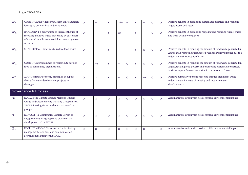| W <sub>2</sub> . | CONTINUE the "Right Stuff, Right Bin" campaign,<br>leveraging both on-line and print media                                                                     | $\circ$  | $+$     | $^{+}$  | $O/+$   | $\ddot{}$ | $+$     |         | O       | $\circ$ | Positive benefits in promoting sustainable practices and reducing<br>Angus' waste and litter.                                                                                                           |
|------------------|----------------------------------------------------------------------------------------------------------------------------------------------------------------|----------|---------|---------|---------|-----------|---------|---------|---------|---------|---------------------------------------------------------------------------------------------------------------------------------------------------------------------------------------------------------|
| W <sub>3</sub> . | IMPLEMENT a programme to increase the use of<br>recycling and food waste processing by customers<br>of Angus Council's commercial waste management<br>services | $\Omega$ | $+$     | $+$     | $O/+$   | $+$       | $+$     | $+$     | $\circ$ | $\circ$ | Positive benefits in promoting recycling and reducing Angus' waste<br>and litter within workplaces.                                                                                                     |
| W4.              | SUPPORT local initiatives to reduce food waste.                                                                                                                | $\circ$  | $+$     | $+$     | $+$     | $+$       | $+$     | $\circ$ | $\circ$ | $\circ$ | Positive benefits in reducing the amount of food waste generated in<br>Angus and promoting sustainable practices. Positive impact due to a<br>reduction in the amount of litter.                        |
| W <sub>5</sub> . | CONTINUE programmes to redistribute surplus<br>food to community organisations.                                                                                | $\circ$  | $++$    | $+$     | $+$     | $\circ$   | $+$     | $\circ$ | $\circ$ | $\circ$ | Positive benefits in reducing the amount of food waste generated in<br>Angus, tackling food poverty and promoting sustainable practices.<br>Positive impact due to a reduction in the amount of litter. |
| W6.              | ADOPT circular economy principles in supply<br>chains for major development projects in<br>the region                                                          | $\circ$  | $\circ$ | $+$     | $+$     | $\circ$   | $+$     | $++$    | $\circ$ | $\circ$ | Positive cumulative benefit expected through significant waste<br>reduction and increase of re-using and repair in major<br>developments.                                                               |
|                  | Governance & Process                                                                                                                                           |          |         |         |         |           |         |         |         |         |                                                                                                                                                                                                         |
| $G1$ .           | EVOLVE the Climate Change Member Officers<br>Group and accompanying Working Groups into a<br>SECAP Steering Group and temporary working<br>groups              | $\circ$  | $\circ$ | $\circ$ | $\circ$ | $\circ$   | $\circ$ | $\circ$ | $\circ$ | $\circ$ | Administrative action with no discernible environmental impact.                                                                                                                                         |
| G <sub>2</sub>   | ESTABLISH a Community Climate Forum to<br>engage community groups and advise on the<br>development of the SECAP                                                | $\Omega$ | $\circ$ | $\circ$ | $\circ$ | $\circ$   | $\circ$ | $\circ$ | $\circ$ | $\circ$ | Administrative action with no discernible environmental impact.                                                                                                                                         |
| $G3$ .           | RECRUIT a SECAP Coordinator for facilitating<br>management, reporting and communication<br>activities in relation to the SECAP                                 | $\circ$  | $\circ$ | $\circ$ | $\circ$ | $\circ$   | $\circ$ | $\circ$ | $\circ$ | $\circ$ | Administrative action with no discernible environmental impact.                                                                                                                                         |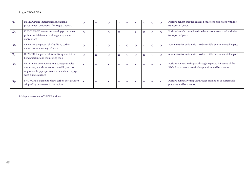| $G4$ . | DEVELOP and implement a sustainable<br>procurement action plan for Angus Council.                                                                                    | $\Omega$ |         | O | $\circ$ |         | $+$     |         | $\circ$ | $\circ$ | Positive benefit through reduced emissions associated with the<br>transport of goods.                                  |
|--------|----------------------------------------------------------------------------------------------------------------------------------------------------------------------|----------|---------|---|---------|---------|---------|---------|---------|---------|------------------------------------------------------------------------------------------------------------------------|
| $G5$ . | ENCOURAGE partners to develop procurement<br>policies which favour local suppliers, where<br>appropriate                                                             | $\circ$  | $^{+}$  | O | $\circ$ |         | $+$     | $\circ$ | $\circ$ | $\circ$ | Positive benefit through reduced emissions associated with the<br>transport of goods.                                  |
| G6.    | EXPLORE the potential of utilising carbon<br>emissions monitoring software.                                                                                          | $\Omega$ | $\circ$ | O | $\circ$ | $\circ$ | $\circ$ | $\circ$ | $\circ$ | $\circ$ | Administrative action with no discernible environmental impact.                                                        |
| G7.    | EXPLORE the potential for utilising adaptation<br>benchmarking and monitoring tools                                                                                  | $\circ$  | $\circ$ | O | $\circ$ | O       | $\circ$ | $\circ$ | $\circ$ | $\circ$ | Administrative action with no discernible environmental impact.                                                        |
| G8.    | DEVELOP a communications strategy to raise<br>awareness, and showcase sustainability across<br>Angus and help people to understand and engage<br>with climate change | $+$      |         |   | $^{+}$  |         | $+$     | $^{+}$  |         | $+$     | Positive cumulative impact through expected influence of the<br>SECAP to promote sustainable practices and behaviours. |
| $G9$ . | SHOWCASE examples of low carbon best practice<br>adopted by businesses in the region                                                                                 |          |         |   | $+$     |         | $+$     | $+$     |         | $+$     | Positive cumulative impact through promotion of sustainable<br>practices and behaviours.                               |

Table 9. Assessment of SECAP Actions.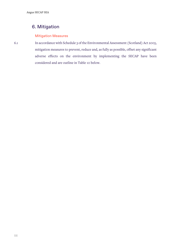# 6. Mitigation

## Mitigation Measures

6.1 In accordance with Schedule 3 of the Environmental Assessment (Scotland) Act 2005, mitigation measures to prevent, reduce and, as fully as possible, offset any significant adverse effects on the environment by implementing the SECAP have been considered and are outline in Table 10 below.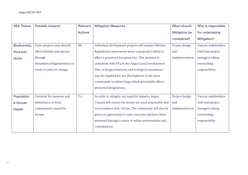| <b>SEA Theme</b> | Possible Impacts             | Relevant          | <b>Mitigation Measures</b>                              | When should          | Who is responsible   |
|------------------|------------------------------|-------------------|---------------------------------------------------------|----------------------|----------------------|
|                  |                              | <b>Actions</b>    |                                                         | <b>Mitigation be</b> | for undertaking      |
|                  |                              |                   |                                                         | considered?          | Mitigation?          |
| Biodiversity,    | Some projects may directly   | <b>B8.</b>        | Individual development projects will require Habitats   | Project design       | Various stakeholders |
| flora and        | affect habitats and species  |                   | Regulations Assessment where a proposal is likely to    | and                  | with lead project    |
| fauna            | through                      |                   | affect a protected European site. This measure is       | implementation.      | managers taking      |
|                  | disturbance/fragmentation or |                   | consistent with PV4 in the Angus Local Development      |                      | overarching          |
|                  | result in land use change.   |                   | Plan. A design statement and ecological assessment      |                      | responsibility.      |
|                  |                              |                   | may be required for any development in the open         |                      |                      |
|                  |                              |                   | countryside or urban fringe which potentially effects   |                      |                      |
|                  |                              |                   | protected designations.                                 |                      |                      |
| Population       | Potential for nuisance and   | T <sub>11</sub> . | In order to mitigate any negative impacts, Angus        | Project design       | Various stakeholders |
| & Human          | disturbance to local         |                   | Council will ensure the drones are used responsibly and | and                  | with lead project    |
| Health           | communities caused by        |                   | in accordance with UK law. The community will also be   | implementation.      | managers taking      |
|                  | drones.                      |                   | given an opportunity to raise concerns and have them    |                      | overarching          |
|                  |                              |                   | answered through a series of online presentations and   |                      | responsibility.      |
|                  |                              |                   | consultations.                                          |                      |                      |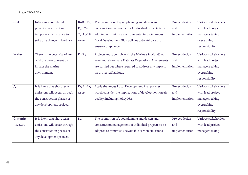| Soil            | Infrastructure related         | B <sub>1</sub> -B <sub>3</sub> ; E <sub>1</sub> ; | The promotion of good planning and design and         | Project design | Various stakeholders |
|-----------------|--------------------------------|---------------------------------------------------|-------------------------------------------------------|----------------|----------------------|
|                 | projects may result in         | E7; T6-                                           | construction management of individual projects to be  | and            | with lead project    |
|                 | temporary disturbance to       | T7; L7-L8;                                        | adopted to minimise environmental impacts. Angus      | implementation | managers taking      |
|                 | soils or a change in land use. | $A1-A5.$                                          | Local Development Plan policies to be followed to     |                | overarching          |
|                 |                                |                                                   | ensure compliance.                                    |                | responsibility.      |
| Water           | There is the potential of any  | $E2-E3$ .                                         | Projects must comply with the Marine (Scotland) Act   | Project design | Various stakeholders |
|                 | offshore development to        |                                                   | 2010 and also ensure Habitats Regulations Assessments | and            | with lead project    |
|                 | impact the marine              |                                                   | are carried out where required to address any impacts | implementation | managers taking      |
|                 | environment.                   |                                                   | on protected habitats.                                |                | overarching          |
|                 |                                |                                                   |                                                       |                | responsibility.      |
| Air             | It is likely that short term   | E <sub>1</sub> ; B <sub>1</sub> -B <sub>2</sub> ; | Apply the Angus Local Development Plan policies       | Project design | Various stakeholders |
|                 | emissions will occur through   | $A1-A5.$                                          | which consider the implications of development on air | and            | with lead project    |
|                 | the construction phases of     |                                                   | quality, including PolicyDS4.                         | implementation | managers taking      |
|                 | any development project.       |                                                   |                                                       |                | overarching          |
|                 |                                |                                                   |                                                       |                | responsibility.      |
| <b>Climatic</b> | It is likely that short term   | B <sub>2</sub> .                                  | The promotion of good planning and design and         | Project design | Various stakeholders |
| <b>Factors</b>  | emissions will occur through   |                                                   | construction management of individual projects to be  | and            | with lead project    |
|                 | the construction phases of     |                                                   | adopted to minimise unavoidable carbon emissions.     | implementation | managers taking      |
|                 | any development project.       |                                                   |                                                       |                |                      |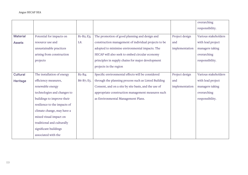|                 |                              |              |                                                      |                | overarching          |
|-----------------|------------------------------|--------------|------------------------------------------------------|----------------|----------------------|
|                 |                              |              |                                                      |                | responsibility.      |
| <b>Material</b> | Potential for impacts on     | $B1-B2; E3;$ | The promotion of good planning and design and        | Project design | Various stakeholders |
| <b>Assets</b>   | resource use and             | L8.          | construction management of individual projects to be | and            | with lead project    |
|                 | unsustainable practices      |              | adopted to minimise environmental impacts. The       | implementation | managers taking      |
|                 | arising from construction    |              | SECAP will also seek to embed circular economy       |                | overarching          |
|                 | projects                     |              | principles in supply chains for major development    |                | responsibility.      |
|                 |                              |              | projects in the region                               |                |                      |
| Cultural        | The installation of energy   | $B2-B4;$     | Specific environmental effects will be considered    | Project design | Various stakeholders |
| Heritage        | efficiency measures,         | B6-B7; E5.   | through the planning process such as Listed Building | and            | with lead project    |
|                 | renewable energy             |              | Consent, and on a site by site basis, and the use of | implementation | managers taking      |
|                 | technologies and changes to  |              | appropriate construction management measures such    |                | overarching          |
|                 | buildings to improve their   |              | as Environmental Management Plans.                   |                | responsibility.      |
|                 | resilience to the impacts of |              |                                                      |                |                      |
|                 | climate change, may have a   |              |                                                      |                |                      |
|                 | mixed visual impact on       |              |                                                      |                |                      |
|                 | traditional and culturally   |              |                                                      |                |                      |
|                 | significant buildings        |              |                                                      |                |                      |
|                 | associated with the          |              |                                                      |                |                      |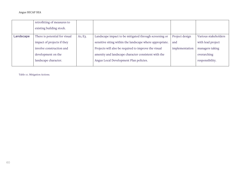|           | retrofitting of measures to<br>existing building stock. |         |                                                          |                |                      |
|-----------|---------------------------------------------------------|---------|----------------------------------------------------------|----------------|----------------------|
| Landscape | There is potential for visual                           | A1; E3. | Landscape impact to be mitigated through screening or    | Project design | Various stakeholders |
|           | impact of projects if they                              |         | sensitive siting within the landscape where appropriate. | and            | with lead project    |
|           | involve construction and                                |         | Projects will also be required to improve the visual     | implementation | managers taking      |
|           | development on the                                      |         | amenity and landscape character consistent with the      |                | overarching          |
|           | landscape character.                                    |         | Angus Local Development Plan policies.                   |                | responsibility.      |
|           |                                                         |         |                                                          |                |                      |

Table 10. Mitigation Actions.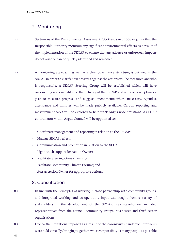## 7. Monitoring

- 7.1 Section 19 of the Environmental Assessment (Scotland) Act 2005 requires that the Responsible Authority monitors any significant environmental effects as a result of the implementation of the SECAP to ensure that any adverse or unforeseen impacts do not arise or can be quickly identified and remedied.
- 7.2 A monitoring approach, as well as a clear governance structure, is outlined in the SECAP in order to clarify how progress against the actions will be measured and who is responsible. A SECAP Steering Group will be established which will have overarching responsibility for the delivery of the SECAP and will convene 4 times a year to measure progress and suggest amendments where necessary. Agendas, attendance and minutes will be made publicly available. Carbon reporting and measurement tools will be explored to help track Angus-wide emissions. A SECAP co-ordinator within Angus Council will be appointed to:
	- Coordinate management and reporting in relation to the SECAP;
	- Manage SECAP refresh;
	- Communication and promotion in relation to the SECAP;
	- Light touch support for Action Owners;
	- Facilitate Steering Group meetings;
	- Facilitate Community Climate Forums; and
	- Acts as Action Owner for appropriate actions.

## 8. Consultation

- 8.1 In line with the principles of working in close partnership with community groups, and integrated working and co-operation, input was sought from a variety of stakeholders in the development of the SECAP. Key stakeholders included representatives from the council, community groups, businesses and third sector organisations.
- 8.2 Due to the limitations imposed as a result of the coronavirus pandemic, interviews were held virtually, bringing together, wherever possible, as many people as possible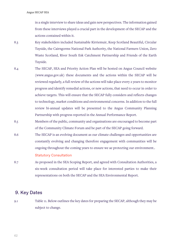in a single interview to share ideas and gain new perspectives. The information gained from these interviews played a crucial part in the development of the SECAP and the actions contained within it.

- 8.3 Key stakeholders included Sustainable Kirriemuir, Keep Scotland Beautiful, Circular Tayside, the Cairngorms National Park Authority, the National Farmers Union, Zero Waste Scotland, River South Esk Catchment Partnership and Friends of the Earth Tayside.
- 8.4 The SECAP, SEA and Priority Action Plan will be hosted on Angus Council website (www.angus.gov.uk) these documents and the actions within the SECAP will be reviewed regularly, a full review of the actions will take place every 2 years to monitor progress and identify remedial actions, or new actions, that need to occur in order to achieve targets. This will ensure that the SECAP fully considers and reflects changes to technology, market conditions and environmental concerns. In addition to the full review bi-annual updates will be presented to the Angus Community Planning Partnership with progress reported in the Annual Performance Report.
- 8.5 Members of the public, community and organisations are encouraged to become part of the Community Climate Forum and be part of the SECAP going forward.
- 8.6 The SECAP is an evolving document as our climate challenges and opportunities are constantly evolving and changing therefore engagement with communities will be ongoing throughout the coming years to ensure we ae protecting our environment.. Statutory Consultation
- 8.7 As proposed in the SEA Scoping Report, and agreed with Consultation Authorities, a six-week consultation period will take place for interested parties to make their representations on both the SECAP and the SEA Environmental Report.

## 9. Key Dates

9.1 Table 11. Below outlines the key dates for preparing the SECAP, although they may be subject to change.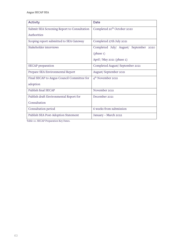| Activity                                    | Date                                    |
|---------------------------------------------|-----------------------------------------|
| Submit SEA Screening Report to Consultation | Completed 20 <sup>th</sup> October 2020 |
| Authorities                                 |                                         |
| Scoping report submitted to SEA Gateway     | Completed 27th July 2021                |
| Stakeholder interviews                      | Completed July/ August/ September 2020  |
|                                             | (phase 1)                               |
|                                             | April / May 2021 (phase $2$ )           |
| SECAP preparation                           | Completed August/September 2021         |
| Prepare SEA Environmental Report            | August/September 2021                   |
| Final SECAP to Angus Council Committee for  | $4th$ November 2021                     |
| adoption                                    |                                         |
| Publish final SECAP                         | November 2021                           |
| Publish draft Environmental Report for      | December 2021                           |
| Consultation                                |                                         |
| Consultation period                         | 6 weeks from submission                 |
| <b>Publish SEA Post-Adoption Statement</b>  | January - March 2022                    |

Table 10. SECAP Preparation Key Dates.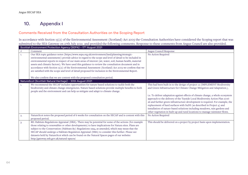# 10. Appendix I

## Comments Received from the Consultation Authorities on the Scoping Report

In accordance with Section 15(2) of the Environmental Assessment (Scotland) Act 2005 the Consultation Authorities have considered the Scoping report that was submitted to the SEA Gateway on 27th July 2021 and provided the following comments. Response to these comments from Angus Council are also provided.

|      | Scottish Environment Protection Agency (SEPA) – 17th August 2021                                                                                                                                                                                                                                                                                                                                                                                                                                                                                                                                                                                                                                                      |                                                                                                                                                                                                                                                                                                                                                                                                                                                                                                                                                                                                                                                   |
|------|-----------------------------------------------------------------------------------------------------------------------------------------------------------------------------------------------------------------------------------------------------------------------------------------------------------------------------------------------------------------------------------------------------------------------------------------------------------------------------------------------------------------------------------------------------------------------------------------------------------------------------------------------------------------------------------------------------------------------|---------------------------------------------------------------------------------------------------------------------------------------------------------------------------------------------------------------------------------------------------------------------------------------------------------------------------------------------------------------------------------------------------------------------------------------------------------------------------------------------------------------------------------------------------------------------------------------------------------------------------------------------------|
| $\#$ | Comment                                                                                                                                                                                                                                                                                                                                                                                                                                                                                                                                                                                                                                                                                                               | Angus Council Response                                                                                                                                                                                                                                                                                                                                                                                                                                                                                                                                                                                                                            |
| 1.   | Our SEA topic guidance notes (https://www.sepa.org.uk/environment/land/planning/strategic-<br>environmental-assessment/) provide advice in regard to the scope and level of detail to be included in<br>environmental reports in respect of our main areas of interest (air, water, soil, human health, material<br>assets and climatic factors). We have used this guidance to review the consultation document and in<br>accordance with Section 15(2) of the Environmental Assessment (Scotland) Act 2005 we confirm that we<br>are satisfied with the scope and level of detail proposed for inclusion in the Environmental Report.<br>We also confirm that we are content with the proposed consultation period. | No Action Required                                                                                                                                                                                                                                                                                                                                                                                                                                                                                                                                                                                                                                |
|      | NatureScot (Scottish Natural Heritage) - 30th August 2021                                                                                                                                                                                                                                                                                                                                                                                                                                                                                                                                                                                                                                                             |                                                                                                                                                                                                                                                                                                                                                                                                                                                                                                                                                                                                                                                   |
| 1.   | We recommend the SECAP includes opportunities for nature based solutions to tackle both the<br>biodiversity and climate change emergencies. Nature based solutions provide multiple benefits to both<br>people and the environment and can help us mitigate and adapt to climate change.                                                                                                                                                                                                                                                                                                                                                                                                                              | This had been built in to the design of project 12 (IMPLEMENT Biodiversity<br>and Green Infrastructure for Climate Change Mitigation and Adaptation.),<br>i.e. To deliver adaptation against effects of climate change, a whole ecosystem<br>approach to the delivery of the Tayside Local Biodiversity Action Plan 2016-<br>26 and further green infrastructure development is required. For example, the<br>replacement of hard surfaces with SuDS (as described in Project 4) and<br>installation of nature-based solutions including meadows, rain gardens and<br>other vegetation in built-up and rural locations to manage rainwater flows. |
| 2.   | NatureScot notes the proposed period of 6 weeks for consultation on the SECAP and is content with this<br>proposed period.                                                                                                                                                                                                                                                                                                                                                                                                                                                                                                                                                                                            | No Action Required                                                                                                                                                                                                                                                                                                                                                                                                                                                                                                                                                                                                                                |
| 3.   | RE: Habitats Regulations Appraisal (HRA). There may be potential for some of the actions (for example<br>those relating to renewables or other developments) to have implications for Natura sites. Plans are<br>subject to the Conservation (Habitats &c) Regulations 1994, as amended, which may mean that the<br>SECAP should undergo a Habitats Regulation Appraisal (HRA) to consider this further. Please see<br>datasets held by NatureScot which can be found on the Natural Spaces pages of our website:<br>http://gateway.snh.gov.uk/natural-spaces/                                                                                                                                                        | This should be delivered on a project by project basis upon implementation.                                                                                                                                                                                                                                                                                                                                                                                                                                                                                                                                                                       |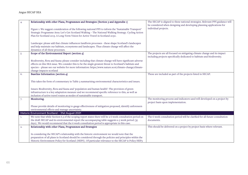|    | Relationship with other Plans, Programmes and Strategies (Section 3 and Appendix 1)                                                                                                                                                                                                                                                                        | The SECAP is aligned to these national strategies. Relevant PPS guidance will<br>be considered when designing and developing planning applications for |
|----|------------------------------------------------------------------------------------------------------------------------------------------------------------------------------------------------------------------------------------------------------------------------------------------------------------------------------------------------------------|--------------------------------------------------------------------------------------------------------------------------------------------------------|
|    | Figure 1: We suggest consideration of the following national PPS to inform the 'Sustainable Transport'<br>Strategic Programme Area: Let's Get Scotland Walking - The National Walking Strategy. Cycling Action<br>Plan for Scotland 2013. A Long-Term Vision for Active Travel in Scotland 2030.                                                           | individual projects.                                                                                                                                   |
|    |                                                                                                                                                                                                                                                                                                                                                            |                                                                                                                                                        |
|    | Landscape: please add that climate influences landform processes - these shape Scotland's landscapes<br>and help maintain our habitats, ecosystems and landscapes. Thus climate change will affect the<br>dynamics of all these processes.                                                                                                                 |                                                                                                                                                        |
| 5. | Scope of the Environmental Report (section 4)                                                                                                                                                                                                                                                                                                              | The projects are all focused on mitigating climate change and its impact<br>including projects specifically dedicated to habitats and biodiversity.    |
|    | Biodiversity, flora and fauna: please consider including that climate change will have significant adverse<br>effects on this SEA issue. We consider this to be the single greatest threat to Scotland's habitats and<br>species - please see our website for more information: https://www.nature.scot/climate-change/climate-<br>change-impacts-scotland |                                                                                                                                                        |
| 6. | Baseline Information (section 4)                                                                                                                                                                                                                                                                                                                           | These are included as part of the projects listed in SECAP.                                                                                            |
|    | This takes the form of commentary in Table 3 summarising environmental characteristics and issues.                                                                                                                                                                                                                                                         |                                                                                                                                                        |
|    | Issues: Biodiversity, flora and fauna and 'population and human health': The provision of green<br>infrastructure is a key adaptation measure and we recommend specific reference to this, as well as<br>inclusion of active travel routes as modes of sustainable transport.                                                                              |                                                                                                                                                        |
| 7. | Monitoring.                                                                                                                                                                                                                                                                                                                                                | The monitoring process and indicators used will developed on a project by<br>project basis upon implementation.                                        |
|    | Please provide details of monitoring to gauge effectiveness of mitigation proposed, identify unforeseen<br>environmental effects and manage uncertainty.                                                                                                                                                                                                   |                                                                                                                                                        |
|    | Historic Environment Scotland - 31st August 2021                                                                                                                                                                                                                                                                                                           |                                                                                                                                                        |
| 1. | We note that while Section 6.3 of the scoping report states there will be a 6 week consultation period on<br>the draft SECAP and its environmental report the accompanying table suggests a 5 week period (35<br>days). We would recommend that the 6 week consultation period is appropriate in this case.                                                | The 6 week consultation period will be clarified for all future consultation<br>documents.                                                             |
| 2. | Relationship with other Plans, Programmes and Strategies                                                                                                                                                                                                                                                                                                   | This should be delivered on a project by project basis where relevant.                                                                                 |
|    | In considering the SECAP's relationship with the historic environment we would note that the<br>preparation of all plans in Scotland should be considered through the policies and principles within the<br>Historic Environment Policy for Scotland (HEPS). Of particular relevance to the SECAP is Policy HEP3                                           |                                                                                                                                                        |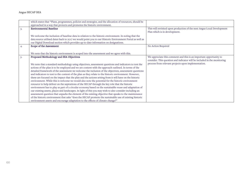|    | which states that "Plans, programmes, policies and strategies, and the allocation of resources, should be |                                                                          |
|----|-----------------------------------------------------------------------------------------------------------|--------------------------------------------------------------------------|
|    | approached in a way that protects and promotes the historic environment.                                  |                                                                          |
| 3. | <b>Environmental Baseline</b>                                                                             | This will revisited upon production of the next Angus Local Development  |
|    |                                                                                                           | Plan which is in development.                                            |
|    | We welcome the inclusion of baseline data in relation to the historic environment. In noting that the     |                                                                          |
|    | data source utilised dates back to 2017 we would point you to our Historic Environment Portal as well as  |                                                                          |
|    | our Digital Download section which provides up-to-date information on designations.                       |                                                                          |
| 4. | Scope of the Assessment                                                                                   | No Action Required                                                       |
|    |                                                                                                           |                                                                          |
|    | We note that the historic environment is scoped into the assessment and we agree with this.               |                                                                          |
| 5. | Proposed Methodology and SEA Objectives                                                                   | We appreciate this comment and this is an important opportunity to       |
|    |                                                                                                           | consider. This question and indicator will be included in the monitoring |
|    | We note that a standard methodology using objectives, assessment questions and indicators to test the     | process from relevant projects upon implementation.                      |
|    | actions of the plan is to be employed and we are content with the approach outlined. In terms of the      |                                                                          |
|    | detailed framework of the assessment we welcome the inclusion of the objectives, assessment questions     |                                                                          |
|    | and indicators to test to the content of the plan as they relate to the historic environment. However,    |                                                                          |
|    | these are focused on the impact that the plan and the actions arising from it will have on the historic   |                                                                          |
|    | environment. While this is welcome we would also note the potential for the historic environment          |                                                                          |
|    | resource to help deliver on the aspirations of the SECAP through the key role that the historic           |                                                                          |
|    | environment has to play as part of a circular economy based on the sustainable reuse and adaptation of    |                                                                          |
|    | our existing assets, places and landscapes. In light of this you may wish to also consider including an   |                                                                          |
|    | assessment question that unpacks the element of the existing objective that speaks to the maintenance     |                                                                          |
|    | of the historic environment that asks "does the SECAP promote the sustainable use of existing historic    |                                                                          |
|    | environment assets and encourage adaptation to the effects of climate change?"                            |                                                                          |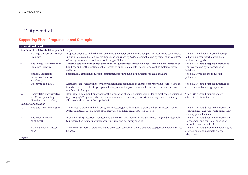# 11.Appendix II

## Supporting Plans, Programmes and Strategies

| <b>International Level</b> |                                                                                       |                                                                                                                                                                                                                                                                            |                                                                                                                      |  |
|----------------------------|---------------------------------------------------------------------------------------|----------------------------------------------------------------------------------------------------------------------------------------------------------------------------------------------------------------------------------------------------------------------------|----------------------------------------------------------------------------------------------------------------------|--|
|                            | Sustainability, Climate Change and Energy                                             |                                                                                                                                                                                                                                                                            |                                                                                                                      |  |
| 6.                         | EU 2030 Climate and Energy<br>Framework                                               | Proposes targets to make the EU's economy and energy system more competitive, secure and sustainable.<br>Including a 40% reduction in greenhouse gas emissions by 2030, a renewable energy target of at least 27%<br>of energy consumption and improved energy efficiency. | The SECAP will identify greenhouse gas<br>reduction measures which will help<br>achieve these goals.                 |  |
| 7.                         | The Energy Performance of<br><b>Buildings Directive</b>                               | Directive sets minimum energy performance requirements for new buildings, for the major renovation of<br>buildings and for the replacement or retrofit of building elements (heating and cooling systems, roofs,<br>walls, etc.)                                           | The SECAP should support initiatives to<br>improve the energy performance of<br>buildings.                           |  |
| 8.                         | <b>National Emissions</b><br><b>Reduction Directive</b><br>2016/2284/EU               | Sets national emission reduction commitments for five main air pollutants for 2020 and 2030.                                                                                                                                                                               | The SECAP will look to reduce air<br>pollutants.                                                                     |  |
| 9.                         | Directive 2009/28/EC                                                                  | Establishes an overall policy for the production and promotion of energy from renewable sources. Sets the<br>foundations of the role of hydrogen in linking renewable power, renewable heat and renewable fuels of<br>non-biological origin.                               | The SECAP should support initiatives to<br>deliver renewable energy expansion.                                       |  |
| 10.                        | <b>Energy Efficiency Directive</b><br>2018/2002 (amending<br>directive to 2012/27/EU) | Establishes a common framework for the promotion of energy efficiency in order to meet energy efficiency<br>target of 32.5%% by 2030. Also introduces measures to encourage efforts to use energy more efficiently in<br>all stages and sectors of the supply chain.       | The SECAP should support energy<br>efficient retrofit initiatives.                                                   |  |
| <b>Nature Conservation</b> |                                                                                       |                                                                                                                                                                                                                                                                            |                                                                                                                      |  |
| 11.                        | Habitats Directive 92/43/EEC                                                          | The Directive protects all wild birds, their nests, eggs and habitats and gives the basis to classify Special<br>Protection Areas; Special Areas of Conservation and European Protected Species.                                                                           | The SECAP should ensure the protection<br>of all wild, rare and vulnerable birds, their<br>nests, eggs and habitats. |  |
| 12.                        | The Birds Directive<br>2009/147/EC.                                                   | Provide for the protection, management and control of all species of naturally occurring wild birds; Seeks<br>to preserve habitats for naturally occurring, rare and migratory species                                                                                     | The SECAP should not hinder protection,<br>management and control of species of<br>naturally occurring wild birds.   |  |
| 13.<br>Water               | <b>EU Biodiversity Strategy</b><br>2030                                               | Aims to halt the loss of biodiversity and ecosystem services in the EU and help stop global biodiversity loss<br>by $2030$ .                                                                                                                                               | The SECAP should promote biodiversity as<br>a key component in climate change<br>adaptation.                         |  |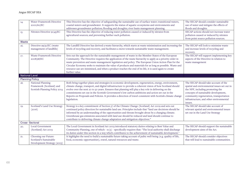| 14.                   | Water Framework Directive<br>2000/60/EC                                        | This Directive has the objective of safeguarding the sustainable use of surface water; transitional waters,<br>coastal waters and groundwater. It supports the status of aquatic ecosystems and environments and<br>addresses groundwater pollution; flooding and droughts; river basin management planning.                                                                                                                                                                                                                                                    | The SECAP should consider sustainable<br>use of water and mitigate the effects of<br>floods and droughts.                                                                                                                                                       |  |
|-----------------------|--------------------------------------------------------------------------------|-----------------------------------------------------------------------------------------------------------------------------------------------------------------------------------------------------------------------------------------------------------------------------------------------------------------------------------------------------------------------------------------------------------------------------------------------------------------------------------------------------------------------------------------------------------------|-----------------------------------------------------------------------------------------------------------------------------------------------------------------------------------------------------------------------------------------------------------------|--|
| 15.                   | Nitrates Directive 91/43/EC                                                    | This Directive has the objective of reducing water pollution caused or induced by nitrates from<br>agricultural sources; and preventing further such pollution.                                                                                                                                                                                                                                                                                                                                                                                                 | SECAP actions should not increase water<br>pollution caused or induced by nitrates<br>from point source pollution sources.                                                                                                                                      |  |
| Waste                 |                                                                                |                                                                                                                                                                                                                                                                                                                                                                                                                                                                                                                                                                 |                                                                                                                                                                                                                                                                 |  |
| 16.                   | Directive 99/31/EC (waste<br>management of landfills)                          | The Landfill Directive has derived a waste hierarchy, which starts at waste minimisation and increasing the<br>levels of recycling and recovery, and facilitates a move towards sustainable waste management.                                                                                                                                                                                                                                                                                                                                                   | The SECAP will look to minimise waste<br>and increase levels of recycling and<br>recovery.                                                                                                                                                                      |  |
| 17.                   | Waste Framework Directive<br>2008/98/EC                                        | Sets out the approach for the sustainable management of waste in the Member States of the European<br>Community. The Directive requires the application of the waste hierarchy to apply as a priority order in<br>waste prevention and waste management legislation and policy. The European Union Action Plan for the<br>Circular Economy seeks to maintain the value of products and materials for as long as possible. Waste and<br>resource use are minimised, and when a product reaches the end of its life, it is used again to create<br>further value. | The SECAP will support implementing key<br>aspects of the Directive in relation to<br>waste management                                                                                                                                                          |  |
| <b>National Level</b> |                                                                                |                                                                                                                                                                                                                                                                                                                                                                                                                                                                                                                                                                 |                                                                                                                                                                                                                                                                 |  |
|                       | <b>Planning Policy</b>                                                         |                                                                                                                                                                                                                                                                                                                                                                                                                                                                                                                                                                 |                                                                                                                                                                                                                                                                 |  |
| 18.                   | National Planning<br>Framework (Scotland) and<br>Scottish Planning Policy 2014 | Both bring together plans and strategies in economic development, regeneration, energy, environment,<br>climate change, transport, and digital infrastructure to provide a coherent vision of how Scotland should<br>evolve over the next 20 to 30 years. Ensures that planning will play a key role in delivering on the<br>commitments set out in the Scottish Government's low carbon ambitions and action set out in the<br>Reports on Proposals and Policies. It provides a direction of travel consistent with Scottish climate change<br>legislation.    | The SECAP should take account of the<br>spatial and environmental issues set out in<br>the NPF, including promoting the<br>concepts of sustainable development,<br>community regeneration, transportation<br>infrastructure, and other environmental<br>issues. |  |
| 19.                   | Scotland's Land Use Strategy<br>(2016)                                         | Strategy is a key commitment of Section 57 of the Climate Change (Scotland) Act 2009 and sets out<br>continued policy direction for sustainable land use. Principles include that "land use decisions should be<br>informed by an understanding of the opportunities and threats brought about by a changing climate.<br>Greenhouse gas emissions associated with land use should be reduced and land should continue to<br>contribute to delivering climate change adaptation and mitigation objectives."                                                      | The SECAP should take account of<br>relevant spatial and environmental issues<br>set out in the Land Use Strategy                                                                                                                                               |  |
|                       | Cross-Sectoral                                                                 |                                                                                                                                                                                                                                                                                                                                                                                                                                                                                                                                                                 |                                                                                                                                                                                                                                                                 |  |
| 20.                   | Local Government<br>(Scotland) Act 2003                                        | The Local Government in Scotland Act 2003 introduced statutory duties relating to Best Value and<br>Community Planning, one of which - $s1(5)$ - specifically requires that: "The local authority shall discharge<br>its duties under this section in a way which contributes to the achievement of sustainable development."                                                                                                                                                                                                                                   | The SECAP should support the sustainable<br>development aims of the Act.                                                                                                                                                                                        |  |
| 21.                   | Choosing our Future:<br>Scotland's Sustainable<br>Development Strategy (2005)  | It highlights the need to build a sustainable future taking account of pubic well-being (e.g. quality of life,<br>food, economic opportunities), travel, natural resources and waste.                                                                                                                                                                                                                                                                                                                                                                           | The SECAP should consider objectives<br>that will lead to sustainable communities.                                                                                                                                                                              |  |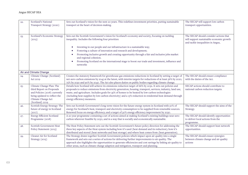| 22. | Scotland's National<br>Transport Strategy (2020)                                                                                                                | Sets out Scotland's vision for the next 20 years. This redefines investment priorities, putting sustainable<br>transport at the heart of decision-making.                                                                                                                                                                                                                                                                                                                 | The SECAP will support low carbon<br>transport opportunities.                              |
|-----|-----------------------------------------------------------------------------------------------------------------------------------------------------------------|---------------------------------------------------------------------------------------------------------------------------------------------------------------------------------------------------------------------------------------------------------------------------------------------------------------------------------------------------------------------------------------------------------------------------------------------------------------------------|--------------------------------------------------------------------------------------------|
| 23. | Scotland's Economic Strategy<br>(2015)                                                                                                                          | Sets out the Scottish Government's vision for Scotland's economy and society, focusing on tackling<br>inequality. Includes the following four priorities:                                                                                                                                                                                                                                                                                                                 | The SECAP should consider actions that<br>will support sustainable economic growth         |
|     |                                                                                                                                                                 | Investing in our people and our infrastructure in a sustainable way;<br>Fostering a culture of innovation and research and development;<br>Promoting inclusive growth and creating opportunity through a fair and inclusive jobs market<br>and regional cohesion.<br>Promoting Scotland on the international stage to boost our trade and investment, influence and                                                                                                       | and tackle inequalities in Angus,                                                          |
|     |                                                                                                                                                                 | networks                                                                                                                                                                                                                                                                                                                                                                                                                                                                  |                                                                                            |
|     | Air and Climate Change                                                                                                                                          |                                                                                                                                                                                                                                                                                                                                                                                                                                                                           |                                                                                            |
| 24. | Climate Change (Scotland)<br>Act 2019                                                                                                                           | Creates the statutory framework for greenhouse gas emissions reductions in Scotland by setting a target of<br>net-zero carbon emissions by 2045 at the latest, with interim targets for reductions of at least 56% by 2020,<br>75% by 2030 and 90% by 2040. The Act also places duties on public bodies regarding climate change.                                                                                                                                         | The SECAP should ensure compliance<br>with the duties of the Act.                          |
| 25. | Climate Change Plan: The<br>third Report on Proposals<br>and Policies (2018) currently<br>being updated to reflect the<br>Climate Change Act<br>(Scotland) 2019 | Details how Scotland will achieve its emissions reduction target of 66% by 2032. It sets out policies and<br>proposals to reduce emissions from electricity generation, housing, transport, services, industry, land use,<br>waste, and agriculture. Includes goals for 35% of homes to be heated by low-carbon technologies<br>(including heat supplies by low-carbon electricity) and a 15% reduction in residential heat demand through<br>energy efficiency measures. | SECAP actions should contribute to<br>national carbon reduction targets.                   |
| 26. | Scottish Energy Strategy: The<br>future of energy in Scotland<br>(2017)                                                                                         | Sets out Scottish Government's long-term vision for the future energy system in Scotland with 50% of<br>energy for Scotland's heat, transport and electricity consumption to be supplied from renewable sources.<br>Renewed focus on energy efficiency; and a target of 30% energy efficiency improvement by 2030.                                                                                                                                                        | The SECAP should support the aims of the<br>Strategy.                                      |
| 27. | <b>Energy Efficient Scotland</b><br>Programme (2018)                                                                                                            | A 20 year programme containing a set of actions aimed at making Scotland's existing buildings near zero<br>carbon wherever feasible by 2050, and in a way that is socially and economically sustainable.                                                                                                                                                                                                                                                                  | The SECAP should identify opportunities<br>to deliver local actions from the<br>programme. |
| 28. | Scottish Government Heat<br>Policy Statement (2015)                                                                                                             | The Heat Policy Statement sets out the Scottish Government's future policy direction for addressing the<br>three key aspects of the Heat system including how it's used (heat demand and its reduction); how it's<br>distributed and stored (heat networks and heat storage) and where heat comes from (heat generation).                                                                                                                                                 | The SECAP should support heat network<br>opportunities.                                    |
| 29. | Cleaner Air for Scotland<br>Strategy (2015)                                                                                                                     | The Strategy draws together Scottish Government policies which impact upon air quality into a single<br>framework and sets out a series of actions for delivering further improvements to air quality. The<br>approach also highlights the opportunities to generate efficiencies and cost savings by linking air quality to<br>other areas, such as climate change adaption and mitigation, transport and planning.                                                      | The SECAP should ensure synergies<br>between climate change and air quality<br>actions     |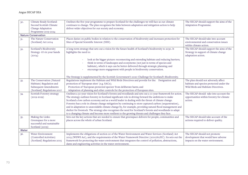| 30.    | Climate Ready Scotland:<br>Second Scottish Climate                                                            | Outlines the five-year programme to prepare Scotland for the challenges we will face as our climate<br>continues to change. The plan recognises the links between adaptation and mitigation action to help                                                                                                                                                                                                                                                                                                                                                                                                                                                                                                                                                        | The SECAP should support the aims of the<br>Adaptation Programme.                                                       |
|--------|---------------------------------------------------------------------------------------------------------------|-------------------------------------------------------------------------------------------------------------------------------------------------------------------------------------------------------------------------------------------------------------------------------------------------------------------------------------------------------------------------------------------------------------------------------------------------------------------------------------------------------------------------------------------------------------------------------------------------------------------------------------------------------------------------------------------------------------------------------------------------------------------|-------------------------------------------------------------------------------------------------------------------------|
|        | Change Adaptation<br>Programme 2019-2024                                                                      | deliver wider objectives for our society and economy.                                                                                                                                                                                                                                                                                                                                                                                                                                                                                                                                                                                                                                                                                                             |                                                                                                                         |
|        | <b>Nature Conservation</b>                                                                                    |                                                                                                                                                                                                                                                                                                                                                                                                                                                                                                                                                                                                                                                                                                                                                                   |                                                                                                                         |
| 31.    | The Nature Conservation<br>(Scotland) Act 2004                                                                | Places duties on public bodies in relation to the conservation of biodiversity and increases protection for<br>Sites of Special Scientific Interest (SSSI).                                                                                                                                                                                                                                                                                                                                                                                                                                                                                                                                                                                                       | The SECAP should take into account<br>environmental and conservation issues<br>within climate action.                   |
| 32.    | Scotland's Biodiversity<br>Strategy- it's in your hands<br>(2004)                                             | A long-term strategy that sets out a vision for the future health of Scotland's biodiversity to 2030. It<br>highlights the need to:<br>look at the bigger picture: reconnecting and extending habitats and reducing barriers;                                                                                                                                                                                                                                                                                                                                                                                                                                                                                                                                     | The SECAP should support the aims of the<br>Strategy in support of climate change<br>adaptation action.                 |
|        |                                                                                                               | think in terms of landscapes and ecosystems (not just in terms of species and<br>habitats), which it says can be better delivered through strategic planning; and<br>encourage more engagement with people in biodiversity conservation.<br>The Strategy is supplemented by the Scottish Government's 2020 Challenge for Scotland's Biodiversity.                                                                                                                                                                                                                                                                                                                                                                                                                 |                                                                                                                         |
| 33.    | The Conservation (Natural<br>Habitats) Regulation and<br>Subsequent Amendments<br>(Scotland) Regulations 2007 | Regulations implement the Habitats and Wild Birds Directives and provide for the: Designation and<br>protection of 'European sites' (e.g. SACs);<br>Protection of 'European protected species' from deliberate harm; and<br>Adaptation of planning and other controls for the protection of European sites.                                                                                                                                                                                                                                                                                                                                                                                                                                                       | The plan should not adversely affect<br>habitats and species protected under the<br>Wild Birds and Habitats Directives. |
| 34.    | Scottish Forestry strategy<br>$(2019 - 2029)$                                                                 | Outlines a 50-year vision for Scotland's forests and woodlands and sets out a 10-year framework for action.<br>The strategy outlines forestry in Scotland significant role in driving forward the ambitions to make<br>Scotland a low carbon economy and as a world leader in dealing with the threat of climate change.<br>Forestry has a role in climate change mitigation by continuing to store captured carbon (sequestration),<br>and in adaptation to unavoidable climate change by, for example, providing natural flood management and<br>shelter for livestock. The strategy also recognises the need for Scotland's forests and woodlands to adapt<br>to a changing climate and become more resilient to the growing threats and challenges they face. | The SECAP should take into account the<br>opportunities within forestry for climate<br>action.                          |
| $35 -$ | Making the Links:<br>Greenspace for a more<br>successful and sustainable<br>Scotland (2009)                   | Sets out the key actions that are needed to ensure that greenspace delivers for people, communities and<br>places across the whole of urban Scotland.                                                                                                                                                                                                                                                                                                                                                                                                                                                                                                                                                                                                             | The SECAP should take account of the<br>actions required to deliver quality.                                            |
| Water  |                                                                                                               |                                                                                                                                                                                                                                                                                                                                                                                                                                                                                                                                                                                                                                                                                                                                                                   |                                                                                                                         |
| 36.    | Water Environment<br>(Controlled Activities)<br>(Scotland) Regulations 2005                                   | Implements the obligations of section 20 of the Water Environment and Water Services (Scotland) Act<br>2003 (WEWS Act), and the requirements of the Water Framework Directive (2000/60/EC). Its sets out the<br>framework for protecting the water environment that integrates the control of pollution, abstractions,<br>dams and engineering activities in the water environment.                                                                                                                                                                                                                                                                                                                                                                               | The SECAP should not promote<br>development that would have adverse<br>impacts on the water environment.                |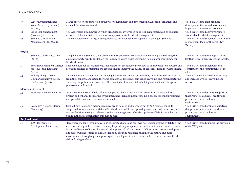| 37.                       | Water Environment and<br>Water Services (Scotland)<br>Act 2003            | Makes provision for protection of the water environment and implementing European Parliament and<br>Council Directive 2000/60/EC.                                                                                                                                                                                                                                                                                                                                                                                                                                               | The SECAP should not promote<br>development that would have adverse<br>impacts on the water environment.                      |  |
|---------------------------|---------------------------------------------------------------------------|---------------------------------------------------------------------------------------------------------------------------------------------------------------------------------------------------------------------------------------------------------------------------------------------------------------------------------------------------------------------------------------------------------------------------------------------------------------------------------------------------------------------------------------------------------------------------------|-------------------------------------------------------------------------------------------------------------------------------|--|
| 38.                       | Flood Risk Management<br>(Scotland) Act 2009                              | The Act creates a framework in which organisations involved in flood risk management can co-ordinate<br>actions to deliver sustainable and modern approaches to flood risk management.                                                                                                                                                                                                                                                                                                                                                                                          | The SECAP should actively promote<br>sustainable flood risk management.                                                       |  |
| 39.                       | Scotland's River Basin<br>Management Plan (2015)                          | The Plan details the strategy and requirements for River Basin Management Planning in Scotland.                                                                                                                                                                                                                                                                                                                                                                                                                                                                                 | The SECAP should align with River Basin<br>Management Plan for the area (Tay<br>Estuary).                                     |  |
| Waste                     |                                                                           |                                                                                                                                                                                                                                                                                                                                                                                                                                                                                                                                                                                 |                                                                                                                               |  |
| 40.                       | Scotland's Zero Waste Plan<br>(2010)                                      | The plan outlines Scotland's key objectives in relation to waste prevention, recycling and reducing the<br>amount of waste sent to landfill on the journey to a zero waste Scotland. The plan proposes targets for<br>Scotland's waste.                                                                                                                                                                                                                                                                                                                                         | The SECAP should have regard to the<br>Scottish Governments recycling targets.                                                |  |
| 41.                       | Scottish Government Charter<br>for Household Recycling<br>(2016)          | Sets out a number of requirements that signatories are expected to follow to improve household waste and<br>recycling services to maximise the capture of, and improve the quality of, resources from the waste stream.                                                                                                                                                                                                                                                                                                                                                         | The SECAP should align with and<br>contribute to the commitments of the<br>Charter.                                           |  |
| 42.                       | Making Things Last: A<br>Circular Economy Strategy<br>for Scotland (2016) | Sets out Scotland's ambitions for changing how waste is seen in our economy. It seeks to reduce waste lost<br>from the economy, and retain the value of materials through repair, reuse, recycling, and remanufacturing<br>via a range of policies and proposals. This is noted as fundamental to helping tackle climate change and<br>preserve natural capital.                                                                                                                                                                                                                | The SECAP will look to minimise waste<br>and increase levels of recycling and<br>recovery.                                    |  |
| <b>Marine and Coastal</b> |                                                                           |                                                                                                                                                                                                                                                                                                                                                                                                                                                                                                                                                                                 |                                                                                                                               |  |
| 43.                       | Marine (Scotland) Act 2010                                                | Provides a framework to help balance competing demands on Scotland's seas. It introduces a duty to<br>protect and enhance the marine environment and includes measures to help boost economic investment<br>and growth in areas such as marine renewables.                                                                                                                                                                                                                                                                                                                      | The SECAP should promote objectives<br>that promote clean, safe, healthy and<br>productive coastal and water<br>environments. |  |
| 44.                       | Scotland's National Marine<br>Plan $(2015)$                               | Sets out how Scotland's marine resources are to be used and managed out to 200 nautical miles. It<br>supports development and activity in Scotland's seas while incorporating environmental protection into<br>marine decision-making to achieve sustainable management. The Plan applies to all decisions taken by<br>public authorities which affect this marine area.                                                                                                                                                                                                        | The SECAP should promote objectives<br>that promote clean, safe, healthy and<br>productive coastal and water<br>environments. |  |
| <b>Regional Level</b>     |                                                                           |                                                                                                                                                                                                                                                                                                                                                                                                                                                                                                                                                                                 |                                                                                                                               |  |
| 45.                       | TAYPlan Strategic<br>Development Plan (2016)                              | Recognises the long-term implications of climate change and sea level rise. It supports the switch to a low<br>carbon economy and zero waste economy by providing for appropriate infrastructure and improvements<br>in our resilience to climate change and other potential risks. It seeks to deliver better quality development<br>and places which respond to climate change by ensuring resilience built into the natural and built<br>environments through a presumption against development in areas vulnerable to coastal erosion, flood<br>risk and rising sea levels. | The SECAP should support the provision<br>of the TAYplan.                                                                     |  |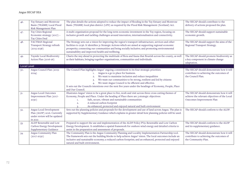| 46.                | Tay Estuary and Montrose<br>Basin (TEAMB) Local Flood<br>Risk Management Plan                     | The plan details the actions adopted to reduce the impact of flooding in the Tay Estuary and Montrose<br>Basin (TEAMB) local plan district (LPD) as required by the Flood Risk Management (Scotland) Act.                                                                                                                                                                                                                                                                  | The SECAP should contribute to the<br>delivery of actions proposed the plan.                                          |
|--------------------|---------------------------------------------------------------------------------------------------|----------------------------------------------------------------------------------------------------------------------------------------------------------------------------------------------------------------------------------------------------------------------------------------------------------------------------------------------------------------------------------------------------------------------------------------------------------------------------|-----------------------------------------------------------------------------------------------------------------------|
| 47.                | Tay Cities Regional<br>Economic strategy (2017) -<br>Tay Cities Deal                              | A multi-organisation proposal for the long-term economic investment in the Tay region, focusing on<br>inclusive growth and tackling challenges around innovation, internationalisation and connectivity.                                                                                                                                                                                                                                                                   | The SECAP should support sustainable<br>economic growth.                                                              |
| 48.                | TACTRAN Regional<br>Transport Strategy refresh<br>$(2015 - 2036)$                                 | The Strategy sets out a vision for improving the region's transport infrastructure, services and other<br>facilities to 2036. It identifies 31 Strategic Actions which are aimed at supporting regional economic<br>prosperity; connecting our communities and being socially inclusive; and promoting environmental<br>sustainability and improved health and wellbeing.                                                                                                  | The SECAP should support the aims of the<br>Regional Transport Strategy.                                              |
| 49.                | Tayside Local Biodiversity<br>Action Plan (2016-26)                                               | Charts the way ahead in protecting the multitude of flora and fauna that flourish across the county, as well<br>as their habitats, bringing together organisations, communities and individuals.                                                                                                                                                                                                                                                                           | The SECAP should promote biodiversity as<br>a key component in climate change<br>adaptation.                          |
| <b>Local Level</b> |                                                                                                   |                                                                                                                                                                                                                                                                                                                                                                                                                                                                            |                                                                                                                       |
| 50.                | Angus Council Plan (2019-<br>2024)                                                                | The Council Plan highlights Angus' ongoing commitment to its four strategic priorities:<br>Angus is a go to place for business.<br>1.<br>We want to maximise inclusion and reduce inequalities<br>2.<br>We want our communities to be strong, resilient and led by citizens<br>3.<br>We want Angus Council to be efficient and effective.<br>It sets out the Councils intentions over the next five years under the headings of Economy, People, Place<br>and Our Council. | The SECAP should demonstrate how it will<br>contribute to achieving the outcomes of<br>the Council Plan.              |
| 51.                | Angus Local Outcomes<br>Improvement Plan (2017-<br>2030)                                          | Illustrates Angus' vision to be a great place to live, work and visit across three cross cutting themes of<br>Economy, People and Place. Under the heading of Place there are 3 strategic objectives:<br>Safe, secure, vibrant and sustainable communities<br>1.<br>A reduced carbon footprint<br>2.<br>An enhanced, protected and enjoyed natural and built environment                                                                                                   | The SECAP should demonstrate how it will<br>achieve the relevant objectives of the Local<br>Outcomes Improvement Plan |
| 52.                | Angus Local Development<br>Plan (ALDP) 2016. Currently<br>under review will be updated<br>in 2021 | Sets out the planning policies and proposals for the development and use of land across Angus. The plan is<br>supported by Supplementary Guidance which explains in greater detail how planning policies will be used.                                                                                                                                                                                                                                                     | The SECAP should conform to the ALDP.                                                                                 |
| $53-$              | ALDP Renewable and Low<br>Carbon Energy Development<br>Supplementary Guidance                     | Prepared to support the use and implementation of the ALDP Policy PV9: Renewable and Low Carbon<br>Energy Development. It establishes a spatial framework for onshore wind energy and detailed criteria to<br>assist in the preparation and assessment of proposals.                                                                                                                                                                                                       | The SECAP should conform to the ALDP<br>and its supplementary guidance.                                               |
| 54.                | Angus Community Plan<br>$(2017 - 2030)$                                                           | The Community Plan is the Angus Community Planning and Locality Implementation Partnership tool.<br>The framework sets out the building blocks to help achieve Angus' vision. The local outcomes include an<br>inclusive and sustainable economy; a reduced carbon footprint; and an enhanced, protected and enjoyed<br>natural and built environment.                                                                                                                     | The SECAP should demonstrate how it will<br>contribute to achieving the outcomes of<br>the Community Plan.            |